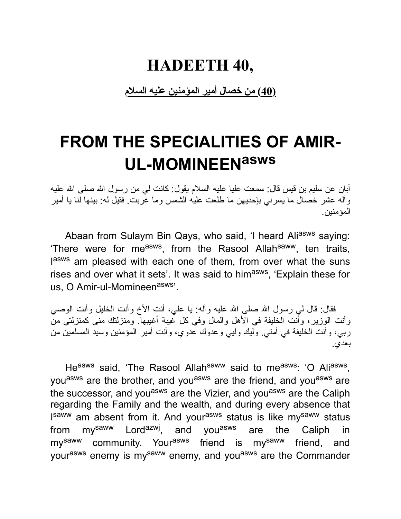#### **HADEETH 40,**

**(40) من خصال أمیر المؤمنین علیه السلام**

## **FROM THE SPECIALITIES OF AMIR-UL-MOMINEENasws**

أبان عن سلیم بن قیس قال: سمعت علیا علیه السلام یقول: كانت لي من رسول االله صلى االله علیه وآله عشر خصال ما یسرني بإحدیهن ما طلعت علیه الشمس وما غربت. فقیل له: بینها لنا یا أمیر المؤمنین.

Abaan from Sulaym Bin Qays, who said, 'I heard Aliasws saying: 'There were for me<sup>asws</sup>, from the Rasool Allah<sup>saww</sup>, ten traits, lasws am pleased with each one of them, from over what the suns rises and over what it sets'. It was said to him<sup>asws</sup>, 'Explain these for us, O Amir-ul-Momineen<sup>asws</sup>'.

فقال: قال لي رسول الله صلى الله علیه وآله: یا علي، أنت الأخ وأنت الخلیل وأنت الوصبي وأنت الوزیر، وأنت الخلیفة في الأهل والمال وفي كل غیبة أغیبها. ومنزلتك منى كمنزلتي من ربي، وأنت الخلیفة في أمتي. ولیك ولیي وعدوك عدوي، وأنت أمیر المؤمنین وسید المسلمین من بعدي.

He<sup>asws</sup> said, 'The Rasool Allah<sup>saww</sup> said to me<sup>asws</sup>: 'O Ali<sup>asws</sup>, you<sup>asws</sup> are the brother, and you<sup>asws</sup> are the friend, and you<sup>asws</sup> are the successor, and you<sup>asws</sup> are the Vizier, and you<sup>asws</sup> are the Caliph regarding the Family and the wealth, and during every absence that I<sup>saww</sup> am absent from it. And your<sup>asws</sup> status is like my<sup>saww</sup> status from my<sup>saww</sup> Lord<sup>azwj</sup>, and you<sup>asws</sup> are the Caliph in my<sup>saww</sup> community. Your<sup>asws</sup> friend is my<sup>saww</sup> friend, and yourasws enemy is mysaww enemy, and youasws are the Commander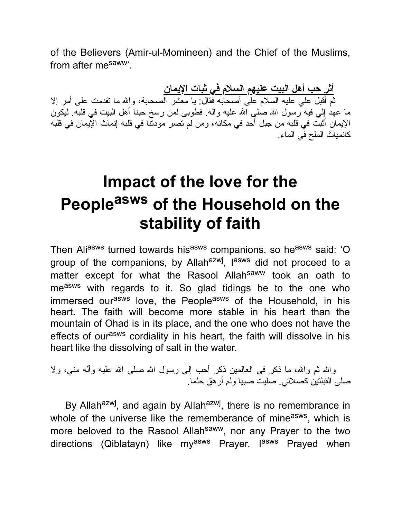of the Believers (Amir-ul-Momineen) and the Chief of the Muslims, from after mesaww'.

**أثر حب أهل البیت علیهم السلام في ثبات الإیمان** ثم أقبل علي علیه السلام على أصحابه فقال: یا معشر الصحابة، واالله ما تقدمت على أمر إلا ما عهد إلى فيه رسول الله صلى الله علیه وآله. فطوبى لمن رسخ حبنا أهل البیت في قلبه. لیكون الإیمان أثبت في قلبه من جبل أحد في مكانه، ومن لم تصر مودتنا في قلبه إنماث الإیمان في قلبه كانمیاث الملح في الماء.

## **Impact of the love for the People asws of the Household on the stability of faith**

Then Aliasws turned towards hisasws companions, so heasws said: 'O group of the companions, by Allah<sup>azwj</sup>, l<sup>asws</sup> did not proceed to a matter except for what the Rasool Allah<sup>saww</sup> took an oath to measws with regards to it. So glad tidings be to the one who immersed ourasws love, the Peopleasws of the Household, in his heart. The faith will become more stable in his heart than the mountain of Ohad is in its place, and the one who does not have the effects of our<sup>asws</sup> cordiality in his heart, the faith will dissolve in his heart like the dissolving of salt in the water.

والله ثم والله، ما ذكر في العالمین ذكر أحب إلى رسول الله صلى الله علیه وآله مني، ولا صلى القبلتین كصلاتي. صلیت صبیا ولم أرهق حلما.

By Allah<sup>azwj</sup>, and again by Allah<sup>azwj</sup>, there is no remembrance in whole of the universe like the rememberance of mine<sup>asws</sup>, which is more beloved to the Rasool Allahsaww, nor any Prayer to the two directions (Qiblatayn) like my<sup>asws</sup> Prayer. I<sup>asws</sup> Prayed when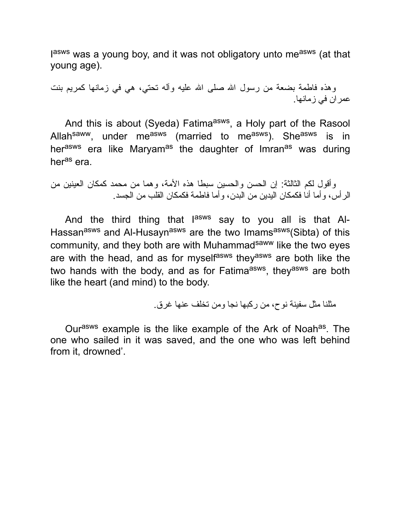lasws was a young boy, and it was not obligatory unto me<sup>asws</sup> (at that young age).

وهذه فاطمة بضعة من رسول الله صلى الله علیه وأله تحتي، هي في زمانها كمریم بنت عمران في زمانها.

And this is about (Syeda) Fatima<sup>asws</sup>, a Holy part of the Rasool Allah<sup>saww</sup>, under me<sup>asws</sup> (married to me<sup>asws</sup>). She<sup>asws</sup> is in her<sup>asws</sup> era like Maryam<sup>as</sup> the daughter of Imran<sup>as</sup> was during her<sup>as</sup> era.

وأقول لكم الثالثة: إن الحسن والحسین سبطا هذه الأمة، وهما من محمد كمكان العینین من الرأس، وأما أنا فكمكان الیدین من البدن، وأما فاطمة فكمكان القلب من الجسد.

And the third thing that l<sup>asws</sup> say to you all is that Al-Hassan<sup>asws</sup> and Al-Husayn<sup>asws</sup> are the two Imams<sup>asws</sup>(Sibta) of this community, and they both are with Muhammad<sup>saww</sup> like the two eyes are with the head, and as for myselfasws theyasws are both like the two hands with the body, and as for Fatima<sup>asws</sup>, they<sup>asws</sup> are both like the heart (and mind) to the body.

مثلنا مثل سفینة نوح، من ركبها نجا ومن تخلف عنها غرق.

Our<sup>asws</sup> example is the like example of the Ark of Noah<sup>as</sup>. The one who sailed in it was saved, and the one who was left behind from it, drowned'.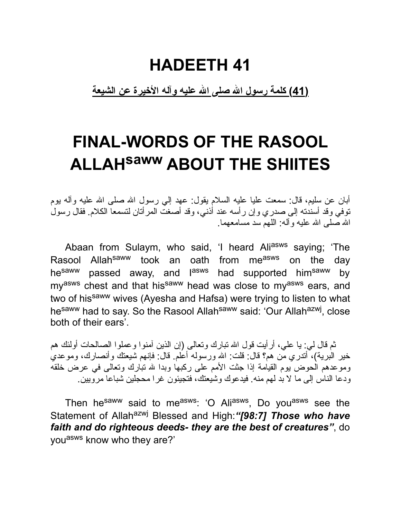## **HADEETH 41**

**(41) كلمة رسول االله صلى االله علیه وآله الأخیرة عن الشیعة**

## **FINAL-WORDS OF THE RASOOL ALLAHsaww ABOUT THE SHIITES**

أبان عن سلیم، قال: سمعت علیا علیه السلام یقول: عهد إلي رسول االله صلى االله علیه وآله یوم توفي وقد أسندته إلى صدري وإن رأسه عند أذني، وقد أصغت المرأتان لتسمعا الكلام. فقال رسول االله صلى االله علیه وآله: اللهم سد مسامعهما.

Abaan from Sulaym, who said, 'I heard Aliasws saying; 'The Rasool Allah<sup>saww</sup> took an oath from me<sup>asws</sup> on the day he<sup>saww</sup> passed away, and l<sup>asws</sup> had supported him<sup>saww</sup> by my<sup>asws</sup> chest and that his<sup>saww</sup> head was close to my<sup>asws</sup> ears, and two of his<sup>saww</sup> wives (Ayesha and Hafsa) were trying to listen to what he<sup>saww</sup> had to say. So the Rasool Allah<sup>saww</sup> said: 'Our Allah<sup>azwj</sup>, close both of their ears'.

ثم قال لي: یا علي، أرأیت قول االله تبارك وتعالى (إن الذین آمنوا وعملوا الصالحات أولئك هم خیر البریة)، أتدري من هم؟ قال: قلت: االله ورسوله أعلم. قال: فإنهم شیعتك وأنصارك، وموعدي وموعدهم الحوض یوم القیامة إذا جثت الأمم على ركبها وبدا الله تبارك وتعالى في عرض خلقه ودعا الناس إلى ما لا بد لهم منه. فیدعوك وشیعتك، فتجیئون غرا محجلین شباعا مرویین.

Then he<sup>saww</sup> said to me<sup>asws</sup>: 'O Ali<sup>asws</sup>, Do you<sup>asws</sup> see the Statement of Allah<sup>azwj</sup> Blessed and High: "[98:7] Those who have *faith and do righteous deeds- they are the best of creatures"*, do you<sup>asws</sup> know who they are?'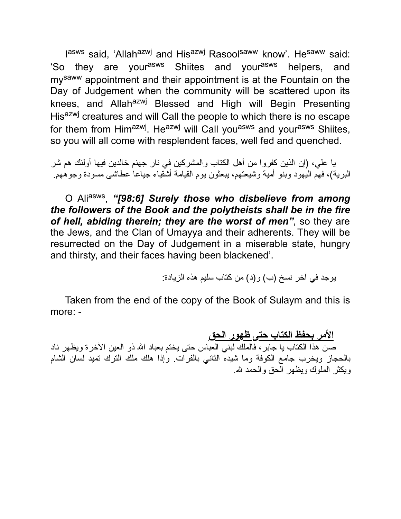l<sup>asws</sup> said, 'Allah<sup>azwj</sup> and His<sup>azwj</sup> Rasool<sup>saww</sup> know'. He<sup>saww</sup> said: 'So they are your<sup>asws</sup> Shiites and your<sup>asws</sup> helpers, and mysaww appointment and their appointment is at the Fountain on the Day of Judgement when the community will be scattered upon its knees, and Allah<sup>azwj</sup> Blessed and High will Begin Presenting His<sup>azwj</sup> creatures and will Call the people to which there is no escape for them from Him<sup>azwj</sup>. He<sup>azwj</sup> will Call you<sup>asws</sup> and your<sup>asws</sup> Shiites, so you will all come with resplendent faces, well fed and quenched.

یا علي، (إن الذین كفروا من أهل الكتاب والمشركین في نار جهنم خالدین فیها أولئك هم شر البریة)، فهم الیهود وبنو أمیة وشیعتهم، یبعثون یوم القیامة أشقیاء جیاعا عطاشى مسودة وجوههم.

O Aliasws , *"[98:6] Surely those who disbelieve from among the followers of the Book and the polytheists shall be in the fire of hell, abiding therein; they are the worst of men"*, so they are the Jews, and the Clan of Umayya and their adherents. They will be resurrected on the Day of Judgement in a miserable state, hungry and thirsty, and their faces having been blackened'.

یوجد في آخر نسخ (ب) و(د) من كتاب سلیم هذه الزیادة:

Taken from the end of the copy of the Book of Sulaym and this is more: -

**الأمر بحفظ الكتاب حتى ظهور الحق** صن هذا الكتاب یا جابر، فالملك لبني العباس حتى یختم بعباد االله ذو العین الآخرة ویظهر ناد بالحجاز ویخرب جامع الكوفة وما شیده الثاني بالفرات. وإذا هلك ملك الترك تمید لسان الشام ویكثر الملوك ویظهر الحق والحمد الله.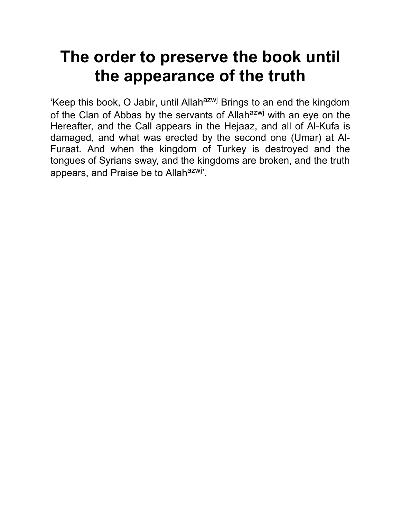## **The order to preserve the book until the appearance of the truth**

'Keep this book, O Jabir, until Allah<sup>azwj</sup> Brings to an end the kingdom of the Clan of Abbas by the servants of Allah<sup>azwj</sup> with an eye on the Hereafter, and the Call appears in the Hejaaz, and all of Al-Kufa is damaged, and what was erected by the second one (Umar) at Al-Furaat. And when the kingdom of Turkey is destroyed and the tongues of Syrians sway, and the kingdoms are broken, and the truth appears, and Praise be to Allah<sup>azwj</sup>'.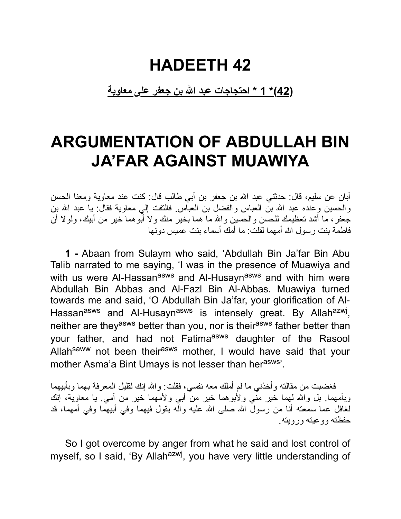#### **HADEETH 42**

**(42)\* 1 \* احتجاجات عبد االله بن جعفر على معاویة**

## **ARGUMENTATION OF ABDULLAH BIN JA'FAR AGAINST MUAWIYA**

أبان عن سلیم، قال: حدثني عبد االله بن جعفر بن أبي طالب قال: كنت عند معاویة ومعنا الحسن والحسین وعنده عبد االله بن العباس والفضل بن العباس. فالتفت إلي معاویة فقال: یا عبد االله بن جعفر، ما أشد تعظیمك للحسن والحسین واالله ما هما بخیر منك ولا أبوهما خیر من أبیك، ولولا أن فاطمة بنت رسول االله أمهما لقلت: ما أمك أسماء بنت عمیس دونها

**1 -** Abaan from Sulaym who said, 'Abdullah Bin Ja'far Bin Abu Talib narrated to me saying, 'I was in the presence of Muawiya and with us were Al-Hassan<sup>asws</sup> and Al-Husayn<sup>asws</sup> and with him were Abdullah Bin Abbas and Al-Fazl Bin Al-Abbas. Muawiya turned towards me and said, 'O Abdullah Bin Ja'far, your glorification of Al-Hassan<sup>asws</sup> and Al-Husayn<sup>asws</sup> is intensely great. By Allah<sup>azwj</sup>, neither are they<sup>asws</sup> better than you, nor is their<sup>asws</sup> father better than your father, and had not Fatima<sup>asws</sup> daughter of the Rasool Allah<sup>saww</sup> not been their<sup>asws</sup> mother, I would have said that your mother Asma'a Bint Umays is not lesser than her<sup>asws</sup>'.

فغضبت من مقالته وأخذني ما لم أملك معه نفسي، فقلت: واالله إنك لقلیل المعرفة بهما وبأبیهما وبأمهما. بل والله لهما خیر منَّى ولأبوهما خیر من أبي ولأمهما خیر من أمي. یا معاویة، إنك لغافل عما سمعته أنا من رسول االله صلى االله علیه وآله یقول فیهما وفي أبیهما وفي أمهما، قد حفظته ووعیته ورویته.

So I got overcome by anger from what he said and lost control of myself, so I said, 'By Allah<sup>azwj</sup>, you have very little understanding of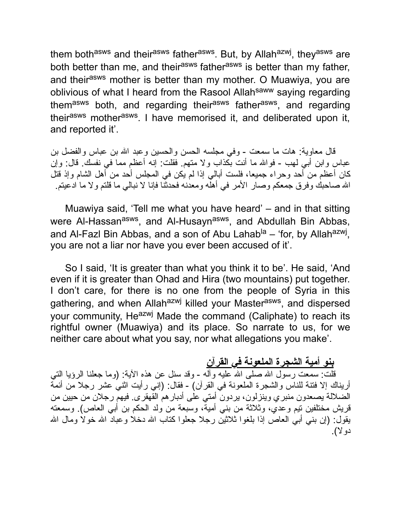them both<sup>asws</sup> and their<sup>asws</sup> father<sup>asws</sup>. But, by Allah<sup>azwj</sup>, they<sup>asws</sup> are both better than me, and their<sup>asws</sup> father<sup>asws</sup> is better than my father, and their<sup>asws</sup> mother is better than my mother. O Muawiya, you are oblivious of what I heard from the Rasool Allah<sup>saww</sup> saying regarding them<sup>asws</sup> both, and regarding their<sup>asws</sup> father<sup>asws</sup>, and regarding their<sup>asws</sup> mother<sup>asws</sup>. I have memorised it, and deliberated upon it, and reported it'.

قال معاویة: هات ما سمعت - وفي مجلسه الحسن والحسین وعبد االله بن عباس والفضل بن عباس وابن أبي لهب - فواالله ما أنت بكذاب ولا متهم. فقلت: إنه أعظم مما في نفسك. قال: وإن كان أعظم من أحد وحراء جمیعا، فلست أبالي إذا لم یكن في المجلس أحد من أهل الشام وإذ قتل االله صاحبك وفرق جمعكم وصار الأمر في أهله ومعدنه فحدثنا فإنا لا نبالي ما قلتم ولا ما ادعیتم.

Muawiya said, 'Tell me what you have heard' – and in that sitting were Al-Hassan<sup>asws</sup>, and Al-Husayn<sup>asws</sup>, and Abdullah Bin Abbas, and Al-Fazl Bin Abbas, and a son of Abu Lahab<sup>la</sup> – 'for, by Allah<sup>azwj</sup>, you are not a liar nor have you ever been accused of it'.

So I said, 'It is greater than what you think it to be'. He said, 'And even if it is greater than Ohad and Hira (two mountains) put together. I don't care, for there is no one from the people of Syria in this gathering, and when Allah<sup>azwj</sup> killed your Master<sup>asws</sup>, and dispersed your community, Heazwj Made the command (Caliphate) to reach its rightful owner (Muawiya) and its place. So narrate to us, for we neither care about what you say, nor what allegations you make'.

#### **بنو أمیة الشجرة الملعونة في القرآن**

قلت: سمعت رسول الله صلى الله علیه وأله - وقد سئل عن هذه الآیة: (وما جعلنا الرؤیا التي أریناك إلا فتنة للناس والشجرة الملعونة في القرآن) - فقال: (إني رأیت اثني عشر رجلا من أئمة الضلالة یصعدون منبري وینزلون، یردون أمتي على أدبارهم القهقرى. فیهم رجلان من حیین من قریش مختلفین تیم وعدي، وثلاثة من بني أمیة، وسبعة من ولد الحكم بن أبي العاص). وسمعته یقول: (إن بني أبي العاص إذا بلغوا ثلاثین رجلا جعلوا كتاب االله دخلا وعباد االله خولا ومال االله دولا).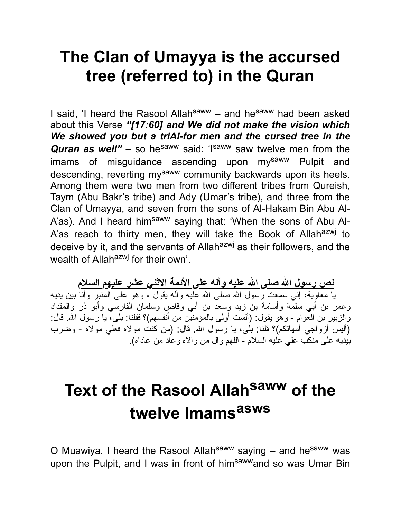## **The Clan of Umayya is the accursed tree (referred to) in the Quran**

I said, 'I heard the Rasool Allah<sup>saww</sup> – and he<sup>saww</sup> had been asked about this Verse *"[17:60] and We did not make the vision which We showed you but a triAl-for men and the cursed tree in the Quran as well"* – so he<sup>saww</sup> said: 'I<sup>saww</sup> saw twelve men from the imams of misguidance ascending upon mysaww Pulpit and descending, reverting my<sup>saww</sup> community backwards upon its heels. Among them were two men from two different tribes from Qureish, Taym (Abu Bakr's tribe) and Ady (Umar's tribe), and three from the Clan of Umayya, and seven from the sons of Al-Hakam Bin Abu Al-A'as). And I heard him<sup>saww</sup> saying that: 'When the sons of Abu Al-A'as reach to thirty men, they will take the Book of Allahazwj to deceive by it, and the servants of Allah<sup>azwj</sup> as their followers, and the wealth of Allah<sup>azwj</sup> for their own'.

**نص رسول االله صلى االله علیه وآله على الأئمة الاثني عشر علیهم السلام** یا معاویة، إني سمعت رسول االله صلى االله علیه وآله یقول - وهو على المنبر وأنا بین یدیه وعمر بن أبي سلمة وأسامة بن زید وسعد بن أبي وقاص وسلمان الفارسي وأبو ذر والمقداد والزبیر بن العوام - وهو یقول: (ألست أولى بالمؤمنین من أنفسهم)؟ فقلنا: بلى، یا رسول االله. قال: (ألیس أزواجي أمهاتكم)؟ قلنا: بلى، یا رسول االله. قال: (من كنت مولاه فعلي مولاه - وضرب بیدیه على منكب علي علیه السلام - اللهم وال من والاه وعاد من عاداه).

# **Text of the Rasool Allah saww of the twelve Imams asws**

O Muawiya, I heard the Rasool Allah<sup>saww</sup> saying – and he<sup>saww</sup> was upon the Pulpit, and I was in front of him<sup>saww</sup>and so was Umar Bin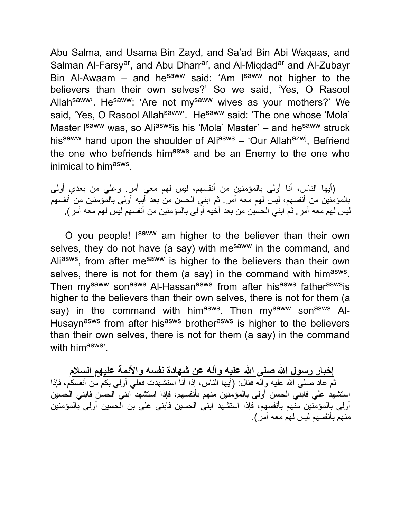Abu Salma, and Usama Bin Zayd, and Sa'ad Bin Abi Waqaas, and Salman Al-Farsy<sup>ar</sup>, and Abu Dharr<sup>ar</sup>, and Al-Miqdad<sup>ar</sup> and Al-Zubayr Bin Al-Awaam – and he<sup>saww</sup> said: 'Am I<sup>saww</sup> not higher to the believers than their own selves?' So we said, 'Yes, O Rasool Allah<sup>saww</sup>'. He<sup>saww</sup>: 'Are not my<sup>saww</sup> wives as your mothers?' We said, 'Yes, O Rasool Allah<sup>saww</sup>'. He<sup>saww</sup> said: 'The one whose 'Mola' Master Isaww was, so Aliaswsis his 'Mola' Master' – and he<sup>saww</sup> struck his<sup>saww</sup> hand upon the shoulder of Ali<sup>asws</sup> – 'Our Allah<sup>azwj</sup>, Befriend the one who befriends him<sup>asws</sup> and be an Enemy to the one who inimical to him<sup>asws</sup>.

(أیها الناس، أنا أولى بالمؤمنین من أنفسهم، لیس لهم معي أمر. وعلي من بعدي أولى بالمؤمنین من أنفسهم، لیس لهم معه أمر. ثم ابني الحسن من بعد أبیه أولى بالمؤمنین من أنفسهم لیس لهم معه أمر. ثم ابني الحسین من بعد أخیه أولى بالمؤمنین من أنفسهم لیس لهم معه أمر).

O you people! Isaww am higher to the believer than their own selves, they do not have (a say) with mesaww in the command, and Ali<sup>asws</sup>, from after me<sup>saww</sup> is higher to the believers than their own selves, there is not for them (a say) in the command with him<sup>asws</sup>. Then my<sup>saww</sup> son<sup>asws</sup> Al-Hassan<sup>asws</sup> from after his<sup>asws</sup> father<sup>asws</sup>is higher to the believers than their own selves, there is not for them (a say) in the command with him<sup>asws</sup>. Then my<sup>saww</sup> son<sup>asws</sup> Al-Husayn<sup>asws</sup> from after his<sup>asws</sup> brother<sup>asws</sup> is higher to the believers than their own selves, there is not for them (a say) in the command with himasws'.

**إخبار رسول االله صلى االله علیه وآله عن شهادة نفسه والأئمة علیهم السلام** ثم عاد صلى االله علیه وآله فقال: (أیها الناس، إذا أنا استشهدت فعلي أولى بكم من أنفسكم، فإذا استشهد علي فابني الحسن أولى بالمؤمنین منهم بأنفسهم، فإذا استشهد ابني الحسن فابني الحسین أولى بالمؤمنین منهم بأنفسهم، فإذا استشهد ابني الحسین فابني علي بن الحسین أولى بالمؤمنین منهم بأنفسهم لیس لهم معه أمر).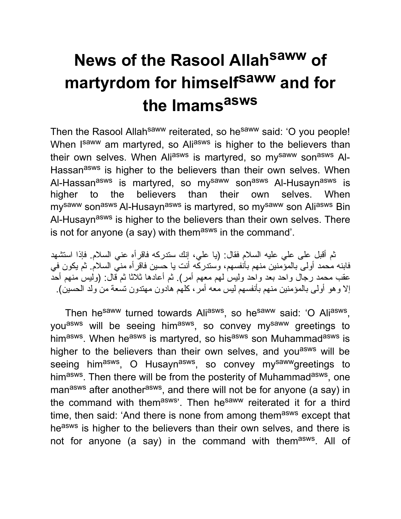# **News of the Rasool Allah saww of martyrdom for himself saww and for the Imams asws**

Then the Rasool Allah<sup>saww</sup> reiterated, so he<sup>saww</sup> said: 'O you people! When I<sup>saww</sup> am martyred, so Ali<sup>asws</sup> is higher to the believers than their own selves. When Aliasws is martyred, so mysaww sonasws Al-Hassan<sup>asws</sup> is higher to the believers than their own selves. When Al-Hassan<sup>asws</sup> is martyred, so my<sup>saww</sup> son<sup>asws</sup> Al-Husayn<sup>asws</sup> is higher to the believers than their own selves. When my<sup>saww</sup> son<sup>asws</sup> Al-Husayn<sup>asws</sup> is martyred, so my<sup>saww</sup> son Ali<sup>asws</sup> Bin Al-Husayn<sup>asws</sup> is higher to the believers than their own selves. There is not for anyone (a say) with them<sup>asws</sup> in the command'.

ثم أقبل على علي علیه السلام فقال: (یا علي، إنك ستدركه فاقرأه عني السلام. فإذا استشهد فابنه محمد أولى بالمؤمنین منهم بأنفسهم، وستدركه أنت یا حسین فاقرأه مني السلام. ثم یكون في عقب محمد رجال واحد بعد واحد ولیس لهم معهم أمر). ثم أعادها ثلاثا ثم قال: (ولیس منهم أحد إلا وهو أولى بالمؤمنین منهم بأنفسهم لیس معه أمر، كلهم هادون مهتدون تسعة من ولد الحسین).

Then he<sup>saww</sup> turned towards Ali<sup>asws</sup>, so he<sup>saww</sup> said: 'O Ali<sup>asws</sup>, you<sup>asws</sup> will be seeing him<sup>asws</sup>, so convey my<sup>saww</sup> greetings to him<sup>asws</sup>. When he<sup>asws</sup> is martyred, so his<sup>asws</sup> son Muhammad<sup>asws</sup> is higher to the believers than their own selves, and you<sup>asws</sup> will be seeing him<sup>asws</sup>, O Husayn<sup>asws</sup>, so convey my<sup>saww</sup>greetings to him<sup>asws</sup>. Then there will be from the posterity of Muhammad<sup>asws</sup>, one man<sup>asws</sup> after another<sup>asws</sup>, and there will not be for anyone (a say) in the command with themasws'. Then hesaww reiterated it for a third time, then said: 'And there is none from among themasws except that heasws is higher to the believers than their own selves, and there is not for anyone (a say) in the command with them<sup>asws</sup>. All of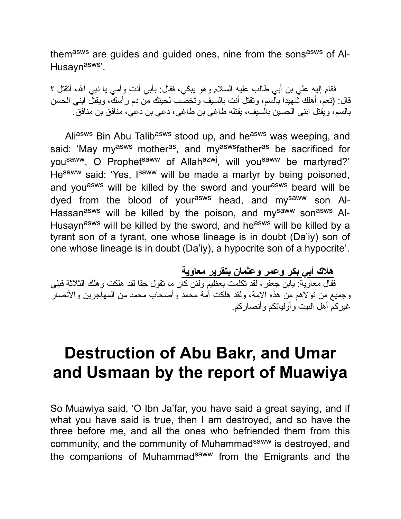themasws are guides and guided ones, nine from the sonsasws of Al-Husayn<sup>asws</sup>'.

فقام إلیه علي بن أبي طالب علیه السلام وهو یبكي، فقال: بأبي أنت وأمي یا نبي االله، أتقتل ؟ قال: (نعم، أهلك شهیدا بالسم، وتقتل أنت بالسیف وتخضب لحیتك من دم رأسك، ویقتل ابني الحسن بالسم، ویقتل ابني الحسین بالسیف، یقتله طاغي بن طاغي، دعي بن دعي، منافق بن منافق.

Aliasws Bin Abu Talibasws stood up, and heasws was weeping, and said: 'May my<sup>asws</sup> mother<sup>as</sup>, and my<sup>asws</sup>father<sup>as</sup> be sacrificed for you<sup>saww</sup>, O Prophet<sup>saww</sup> of Allah<sup>azwj</sup>, will you<sup>saww</sup> be martyred?' He<sup>saww</sup> said: 'Yes, I<sup>saww</sup> will be made a martyr by being poisoned, and you<sup>asws</sup> will be killed by the sword and your<sup>asws</sup> beard will be dyed from the blood of yourasws head, and mysaww son Al-Hassan<sup>asws</sup> will be killed by the poison, and my<sup>saww</sup> son<sup>asws</sup> Al-Husayn<sup>asws</sup> will be killed by the sword, and he<sup>asws</sup> will be killed by a tyrant son of a tyrant, one whose lineage is in doubt (Da'iy) son of one whose lineage is in doubt (Da'iy), a hypocrite son of a hypocrite'.

**هلاك أبي بكر وعمر وعثمان بتقریر معاویة** فقال معاویة: یابن جعفر، لقد تكلمت بعظیم ولئن كان ما تقول حقا لقد هلكت وهلك الثلاثة قبلي وجمیع من تولاهم من هذه الامة، ولقد هلكت أمة محمد وأصحاب محمد من المهاجرین والأنصار غیركم أهل البیت وأولیائكم وأنصاركم.

#### **Destruction of Abu Bakr, and Umar and Usmaan by the report of Muawiya**

So Muawiya said, 'O Ibn Ja'far, you have said a great saying, and if what you have said is true, then I am destroyed, and so have the three before me, and all the ones who befriended them from this community, and the community of Muhammad<sup>saww</sup> is destroyed, and the companions of Muhammadsaww from the Emigrants and the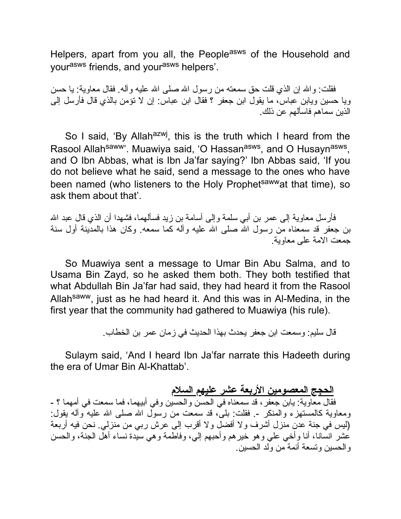Helpers, apart from you all, the People<sup>asws</sup> of the Household and yourasws friends, and yourasws helpers'.

فقلت: والله إن الذي قلت حق سمعته من رسول الله صلى الله علیه وآله. فقال معاویة: یا حسن ویا حسین ویابن عباس، ما یقول ابن جعفر ؟ فقال ابن عباس: إن لا تؤمن بالذي قال فأرسل إلى الذین سماهم فاسألهم عن ذلك.

So I said, 'By Allah<sup>azwj</sup>, this is the truth which I heard from the Rasool Allah<sup>saww</sup>'. Muawiya said, 'O Hassan<sup>asws</sup>, and O Husayn<sup>asws</sup>, and O Ibn Abbas, what is Ibn Ja'far saying?' Ibn Abbas said, 'If you do not believe what he said, send a message to the ones who have been named (who listeners to the Holy Prophet<sup>saww</sup>at that time), so ask them about that'.

فأرسل معاویة إلى عمر بن أبي سلمة وإلى أسامة بن زید فسألهما، فشهدا أن الذي قال عبد الله بن جعفر قد سمعناه مّن رسول اللهّ صلى الله علیه وآله كما سمعه. وكان هذا بالمدَّبنة أول سنة جمعت الامة على معاویة.

So Muawiya sent a message to Umar Bin Abu Salma, and to Usama Bin Zayd, so he asked them both. They both testified that what Abdullah Bin Ja'far had said, they had heard it from the Rasool Allahsaww, just as he had heard it. And this was in Al-Medina, in the first year that the community had gathered to Muawiya (his rule).

قال سلیم: وسمعت ابن جعفر یحدث بهذا الحدیث في زمان عمر بن الخطاب.

Sulaym said, 'And I heard Ibn Ja'far narrate this Hadeeth during the era of Umar Bin Al-Khattab'.

**الحجج المعصومین الأربعة عشر علیهم السلام** فقال معاویة: یابن جعفر، قد سمعناه في الحسن والحسین وفي أبیهما، فما سمعت في أمهما ؟ - ومعاویة كالمستهزء والمنكر .- فقلت: بلى، قد سمعت من رسول االله صلى االله علیه وآله یقول: (لیس في جنة عدن منزل أشرف ولا أفضل ولا أقرب إلى عرش ربي من منزلي. نحن فیه أربعة عشر انسانا، أنا وأخي علي وهو خیرهم وأحبهم إلي، وفاطمة وهي سیدة نساء أهل الجنة، والحسن والحسین وتسعة أئمة من ولد الحسین.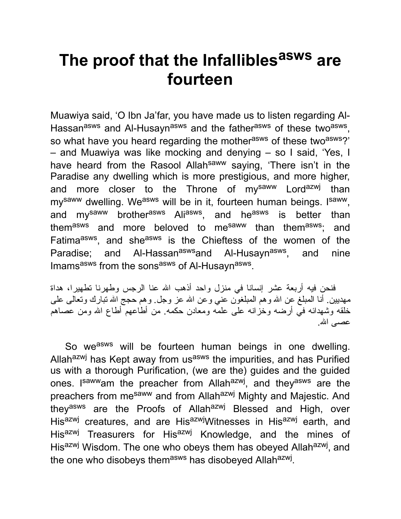## **The proof that the Infallibles asws are fourteen**

Muawiya said, 'O Ibn Ja'far, you have made us to listen regarding Al-Hassan<sup>asws</sup> and Al-Husayn<sup>asws</sup> and the father<sup>asws</sup> of these two<sup>asws</sup>, so what have you heard regarding the mother<sup>asws</sup> of these two<sup>asws</sup>?' – and Muawiya was like mocking and denying – so I said, 'Yes, I have heard from the Rasool Allah<sup>saww</sup> saying, 'There isn't in the Paradise any dwelling which is more prestigious, and more higher, and more closer to the Throne of my<sup>saww</sup> Lord<sup>azwj</sup> than my<sup>saww</sup> dwelling. We<sup>asws</sup> will be in it, fourteen human beings. I<sup>saww</sup>, and my<sup>saww</sup> brother<sup>asws</sup> Ali<sup>asws</sup>, and he<sup>asws</sup> is better than them<sup>asws</sup> and more beloved to me<sup>saww</sup> than them<sup>asws</sup>; and Fatima<sup>asws</sup>, and she<sup>asws</sup> is the Chieftess of the women of the Paradise: and Al-Hassan<sup>asws</sup>and Al-Husayn<sup>asws</sup>. , and nine Imams<sup>asws</sup> from the sons<sup>asws</sup> of Al-Husayn<sup>asws</sup>.

فنحن فیه أربعة عشر إنسانا في منزل واحد أذهب االله عنا الرجس وطهرنا تطهیرا، هداة مهدیین. أنا المبلغ عن االله وهم المبلغون عني وعن االله عز وجل. وهم حجج االله تبارك وتعالى على خلقه وشهدائه في أرضه وخزانه على علمه ومعادن حكمه. من أطاعهم أطاع االله ومن عصاهم عصــي الله.

So we<sup>asws</sup> will be fourteen human beings in one dwelling. Allah<sup>azwj</sup> has Kept away from us<sup>asws</sup> the impurities, and has Purified us with a thorough Purification, (we are the) guides and the guided ones. I<sup>saww</sup>am the preacher from Allah<sup>azwj</sup>, and they<sup>asws</sup> are the preachers from me<sup>saww</sup> and from Allah<sup>azwj</sup> Mighty and Majestic. And they<sup>asws</sup> are the Proofs of Allah<sup>azwj</sup> Blessed and High, over His<sup>azwj</sup> creatures, and are His<sup>azwj</sup>Witnesses in His<sup>azwj</sup> earth, and His<sup>azwj</sup> Treasurers for His<sup>azwj</sup> Knowledge, and the mines of His<sup>azwj</sup> Wisdom. The one who obeys them has obeyed Allah<sup>azwj</sup>, and the one who disobeys them<sup>asws</sup> has disobeyed Allah<sup>azwj</sup>.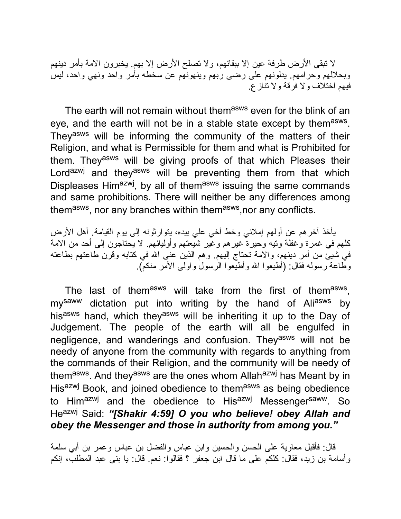لا تبقى الأرض طرفة عین إلا ببقائهم، ولا تصلح الأرض إلا بهم. یخبرون الامة بأمر دینهم وبحلالهم وحرامهم. یدلونهم على رضى ربهم وینهونهم عن سخطه بأمر واحد ونهي واحد، لیس فیهم اختلاف ولا فرقة ولا تنازع.

The earth will not remain without themasws even for the blink of an eye, and the earth will not be in a stable state except by them<sup>asws</sup>. They<sup>asws</sup> will be informing the community of the matters of their Religion, and what is Permissible for them and what is Prohibited for them. They<sup>asws</sup> will be giving proofs of that which Pleases their Lord<sup>azwj</sup> and they<sup>asws</sup> will be preventing them from that which Displeases Him<sup>azwj</sup>, by all of them<sup>asws</sup> issuing the same commands and same prohibitions. There will neither be any differences among themasws, nor any branches within themasws, nor any conflicts.

یأخذ آخرهم عن أولهم إملائي وخط أخي علي بیده، یتوارثونه إلى یوم القیامة. أهل الأرض كلهم في غمرة وغفلة وتیه وحیرة غیرهم وغیر شیعتهم وأولیائهم. لا یحتاجون إلى أحد من الامة في شیئ من أمر دینهم، والامة تحتاج إلیهم. وهم الذین عنى االله في كتابه وقرن طاعتهم بطاعته وطاعة رسوله فقال: (أطیعوا االله وأطیعوا الرسول واولى الأمر منكم).

The last of them<sup>asws</sup> will take from the first of them<sup>asws</sup>, my<sup>saww</sup> dictation put into writing by the hand of Ali<sup>asws</sup> by hisasws hand, which theyasws will be inheriting it up to the Day of Judgement. The people of the earth will all be engulfed in negligence, and wanderings and confusion. They<sup>asws</sup> will not be needy of anyone from the community with regards to anything from the commands of their Religion, and the community will be needy of themasws. And theyasws are the ones whom Allahazwj has Meant by in His<sup>azwj</sup> Book, and joined obedience to them<sup>asws</sup> as being obedience to Himazwj and the obedience to Hisazwj Messengersaww. So Heazwj Said: *"[Shakir 4:59] O you who believe! obey Allah and obey the Messenger and those in authority from among you."*

قال: فأقبل معاویة على الحسن والحسین وابن عباس والفضل بن عباس وعمر بن أبي سلمة وأسامة بن زید، فقال: كلكم على ما قال ابن جعفر ؟ فقالوا: نعم. قال: یا بني عبد المطلب، إنكم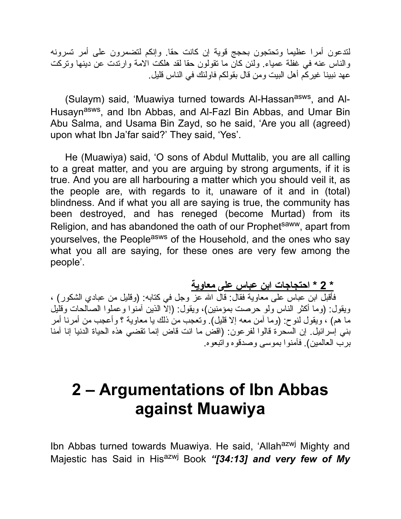لتدعون أمرا عظیما وتحتجون بحجج قویة إن كانت حقا. وإنكم لتضمرون على أمر تسرونه والناس عنه في غفلة عمیاء. ولئن كان ما تقولون حقا لقد هلكت الامة وارتدت عن دینها وتركت عهد نبینا غیركم أهل البیت ومن قال بقولكم فاولئك في الناس قلیل.

(Sulaym) said, 'Muawiya turned towards Al-Hassan<sup>asws</sup>, and Al-Husayn<sup>asws</sup>, and Ibn Abbas, and Al-Fazl Bin Abbas, and Umar Bin Abu Salma, and Usama Bin Zayd, so he said, 'Are you all (agreed) upon what Ibn Ja'far said?' They said, 'Yes'.

He (Muawiya) said, 'O sons of Abdul Muttalib, you are all calling to a great matter, and you are arguing by strong arguments, if it is true. And you are all harbouring a matter which you should veil it, as the people are, with regards to it, unaware of it and in (total) blindness. And if what you all are saying is true, the community has been destroyed, and has reneged (become Murtad) from its Religion, and has abandoned the oath of our Prophetsaww, apart from yourselves, the People<sup>asws</sup> of the Household, and the ones who say what you all are saying, for these ones are very few among the people'.

**\* 2 \* احتجاجات ابن عباس على معاویة**

فأقبل ابن عباس على معاویة فقال: قال االله عز وجل في كتابه: (وقلیل من عبادي الشكور) ، ویقول: (وما أكثر الناس ولو حرصت بمؤمنین)، ویقول: (إلا الذین آمنوا وعملوا الصالحات وقلیل ما هم) ، ویقول لنوح: (وما آمن معه إلا قلیل). وتعجب من ذلك یا معاویة ؟ وأعجب من أمرنا أمر بني إسرائیل. إن السحرة قالوا لفرعون: (اقض ما انت قاض إنما تقضي هذه الحیاة الدنیا إنا آمنا برب العالمین). فآمنوا بموسى وصدقوه واتبعوه.

## **2 – Argumentations of Ibn Abbas against Muawiya**

Ibn Abbas turned towards Muawiya. He said, 'Allah<sup>azwj</sup> Mighty and Majestic has Said in His<sup>azwj</sup> Book "[34:13] and very few of My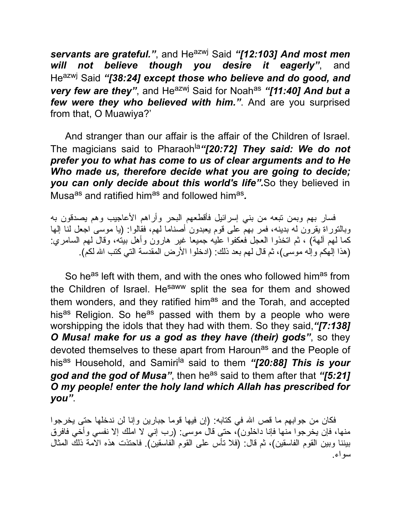*servants are grateful."*, and Heazwj Said *"[12:103] And most men will not believe though you desire it eagerly"*, and Heazwj Said *"[38:24] except those who believe and do good, and very few are they"*, and He<sup>azwj</sup> Said for Noah<sup>as</sup> "[11:40] And but a *few were they who believed with him."*. And are you surprised from that, O Muawiya?'

And stranger than our affair is the affair of the Children of Israel. The magicians said to Pharaoh<sup>la</sup>"[20:72] They said: We do not *prefer you to what has come to us of clear arguments and to He Who made us, therefore decide what you are going to decide; you can only decide about this world's life".*So they believed in Musa<sup>as</sup> and ratified him<sup>as</sup> and followed him<sup>as</sup>.

فسار بهم وبمن تبعه من بني إسرائیل فأقطعهم البحر وأراهم الأعاجیب وهم یصدقون به وبالتوراة یقرون له بدینه، فمر بهم على قوم یعبدون أصناما لهم، فقالوا: (یا موسى اجعل لنا إلها كما لهم آلهة) ، ثم اتخذوا العجل فعكفوا علیه جمیعا غیر هارون وأهل بیته، وقال لهم السامري: (هذا إلهكم وإله موسى)، ثم قال لهم بعد ذلك: (ادخلوا الأرض المقدسة التي كتب االله لكم).

So he<sup>as</sup> left with them, and with the ones who followed him<sup>as</sup> from the Children of Israel. He<sup>saww</sup> split the sea for them and showed them wonders, and they ratified him<sup>as</sup> and the Torah, and accepted his<sup>as</sup> Religion. So he<sup>as</sup> passed with them by a people who were worshipping the idols that they had with them. So they said,*"[7:138] O Musa! make for us a god as they have (their) gods"*, so they devoted themselves to these apart from Haroun<sup>as</sup> and the People of his<sup>as</sup> Household, and Samiri<sup>la</sup> said to them "[20:88] This is your *god and the god of Musa*", then he<sup>as</sup> said to them after that "[5:21] *O my people! enter the holy land which Allah has prescribed for you"*.

فكان من جوابهم ما قص االله في كتابه: (إن فیها قوما جبارین وإنا لن ندخلها حتى یخرجوا منها، فإن یخرجوا منها فإنا داخلون)، حتى قال موسى: (رب إني لا املك إلا نفسي وأخي فافرق بیننا وبین القوم الفاسقین)، ثم قال: (فلا تأس على القوم الفاسقین). فاحتذت هذه الامة ذلك المثال سواء.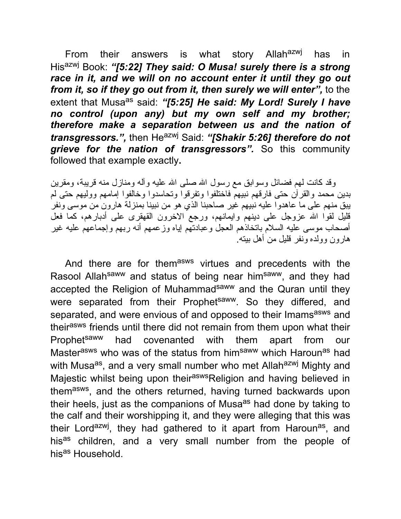From their answers is what story Allah<sup>azwj</sup> has in His<sup>azwj</sup> Book: "[5:22] They said: O Musa! surely there is a strong *race in it, and we will on no account enter it until they go out from it, so if they go out from it, then surely we will enter",* to the extent that Musa<sup>as</sup> said: "[5:25] He said: My Lord! Surely I have *no control (upon any) but my own self and my brother; therefore make a separation between us and the nation of transgressors.",* then Heazwj Said: *"[Shakir 5:26] therefore do not grieve for the nation of transgressors".* So this community followed that example exactly**.**

وقد كانت لهم فضائل وسوابق مع رسول االله صلى االله علیه وآله ومنازل منه قریبة، ومقرین بدین محمد والقرآن حتى فارقهم نبیهم فاختلفوا وتفرقوا وتحاسدوا وخالفوا إمامهم وولیهم حتى لم یبق منهم على ما عاهدوا علیه نبیهم غیر صاحبنا الذي هو من نبینا بمنزلة هارون من موسى ونفر قلیل لقوا الله عزوجل على دینهم وایمانهم، ورجع الاخرون القهقرى على أدبارهم، كما فعل أصحاب موسى علیه السلام باتخاذهم العجل وعبادتهم إیاه وزعمهم أنه ربهم وإجماعهم علیه غیر هارون وولده ونفر قلیل من أهل بیته.

And there are for them<sup>asws</sup> virtues and precedents with the Rasool Allah<sup>saww</sup> and status of being near him<sup>saww</sup>, and they had accepted the Religion of Muhammadsaww and the Quran until they were separated from their Prophet<sup>saww</sup>. So they differed, and separated, and were envious of and opposed to their Imams<sup>asws</sup> and their<sup>asws</sup> friends until there did not remain from them upon what their Prophet<sup>saww</sup> had covenanted with them apart from our Masterasws who was of the status from him<sup>saww</sup> which Haroun<sup>as</sup> had with Musa<sup>as</sup>, and a very small number who met Allah<sup>azwj</sup> Mighty and Majestic whilst being upon their<sup>asws</sup>Religion and having believed in them<sup>asws</sup>, and the others returned, having turned backwards upon their heels, just as the companions of Musa<sup>as</sup> had done by taking to the calf and their worshipping it, and they were alleging that this was their Lord<sup>azwj</sup>, they had gathered to it apart from Haroun<sup>as</sup>, and his<sup>as</sup> children, and a very small number from the people of his<sup>as</sup> Household.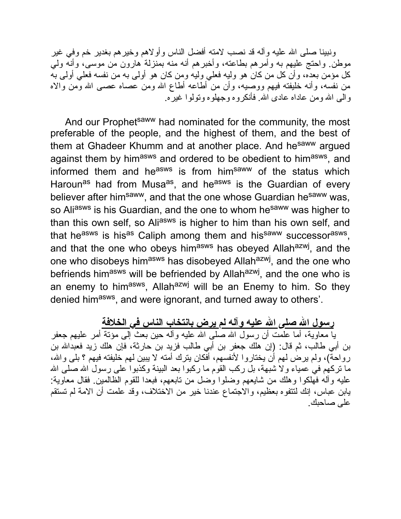ونبینا صلَّى الله علیه وآله قد نصب لامته أفضل الناس وأولاهم وخیرهم بغدیر خم وفي غیر موطن. واحتج علیهم به وأمرهم بطاعته، وأخبرهم أنه منه بمنزلة هارون من موسى، وأنه ولي كل مؤمن بعده، وأن كل من كان هو ولیه فعلي ولیه ومن كان هو أولى به من نفسه فعلي أولى به من نفسه، وأنه خلیفته فیهم ووصیه، وأن من أطاعه أطاع االله ومن عصاه عصى االله ومن والاه والى االله ومن عاداه عادى االله. فأنكروه وجهلوه وتولوا غیره.

And our Prophet<sup>saww</sup> had nominated for the community, the most preferable of the people, and the highest of them, and the best of them at Ghadeer Khumm and at another place. And he<sup>saww</sup> argued against them by him<sup>asws</sup> and ordered to be obedient to him<sup>asws</sup>, and informed them and he<sup>asws</sup> is from him<sup>saww</sup> of the status which Haroun<sup>as</sup> had from Musa<sup>as</sup>, and he<sup>asws</sup> is the Guardian of every believer after him<sup>saww</sup>, and that the one whose Guardian he<sup>saww</sup> was, so Aliasws is his Guardian, and the one to whom he<sup>saww</sup> was higher to than this own self, so Aliasws is higher to him than his own self, and that he<sup>asws</sup> is his<sup>as</sup> Caliph among them and his<sup>saww</sup> successor<sup>asws</sup>, and that the one who obeys him<sup>asws</sup> has obeyed Allah<sup>azwj</sup>, and the one who disobeys him<sup>asws</sup> has disobeyed Allah<sup>azwj</sup>, and the one who befriends him<sup>asws</sup> will be befriended by Allah<sup>azwj</sup>, and the one who is an enemy to him<sup>asws</sup>, Allah<sup>azwj</sup> will be an Enemy to him. So they denied him<sup>asws</sup>, and were ignorant, and turned away to others'.

**رسول االله صلى االله علیه وآله لم یرض بانتخاب الناس في الخلافة**

یا معاویة، أما علمت أن رسول االله صلى االله علیه وآله حین بعث إلى مؤتة أمر علیهم جعفر بن أبي طالب، ثم قال: (إن هلك جعفر بن أبي طالب فزید بن حارثة، فإن هلك زید فعبداالله بن رواحةٌ)، ولم یرض لهم أن یختاروا لأنفسهم، أفكان یترك أمته لا یبین لهم خلیفته فیهم ؟ بلي والله، ما تركهم في عمیاء ولا شبهة، بل ركب القوم ما ركبوا بعد البینة وكذبوا على رسول االله صلى االله علیه وآله فهلكوا وهلك من شایعهم وضلوا وضل من تابعهم، فبعدا للقوم الظالمین. فقال معاویة: یابن عباس، إنك لتتفوه بعظیم، والاجتماع عندنا خیر من الاختلاف، وقد علمت أن الامة لم تستقم على صاحبك.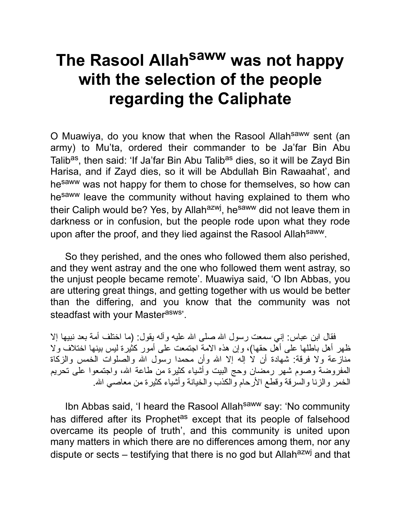## **The Rasool Allah saww was not happy with the selection of the people regarding the Caliphate**

O Muawiya, do you know that when the Rasool Allah<sup>saww</sup> sent (an army) to Mu'ta, ordered their commander to be Ja'far Bin Abu Talib<sup>as</sup>, then said: 'If Ja'far Bin Abu Talib<sup>as</sup> dies, so it will be Zayd Bin Harisa, and if Zayd dies, so it will be Abdullah Bin Rawaahat', and hesaww was not happy for them to chose for themselves, so how can hesaww leave the community without having explained to them who their Caliph would be? Yes, by Allah<sup>azwj</sup>, he<sup>saww</sup> did not leave them in darkness or in confusion, but the people rode upon what they rode upon after the proof, and they lied against the Rasool Allah<sup>saww</sup>.

So they perished, and the ones who followed them also perished, and they went astray and the one who followed them went astray, so the unjust people became remote'. Muawiya said, 'O Ibn Abbas, you are uttering great things, and getting together with us would be better than the differing, and you know that the community was not steadfast with your Masterasws'.

فقال ابن عباس: إني سمعت رسول الله صلى الله علیه وآله یقول: (ما اختلف أمة بعد نبیها إلا ظهر أهل باطلها على أهل حقها)، وإن هذه الامة اجتمعت على أمور كثیرة لیس بینها اختلاف ولا منازعة ولا فرقة: شهادة أن لا إله إلا الله وأن محمدا رسول الله والصلوات الخمس والزكاة المفروضة وصوم شهر رمضان وحج البیت وأشیاء كثیرة من طاعة االله، واجتمعوا على تحریم الخمر والزنا والسرقة وقطع الأرحام والكذب والخیانة وأشیاء كثیرة من معاصي االله.

Ibn Abbas said, 'I heard the Rasool Allah<sup>saww</sup> say: 'No community has differed after its Prophet<sup>as</sup> except that its people of falsehood overcame its people of truth', and this community is united upon many matters in which there are no differences among them, nor any dispute or sects – testifying that there is no god but Allah<sup>azwj</sup> and that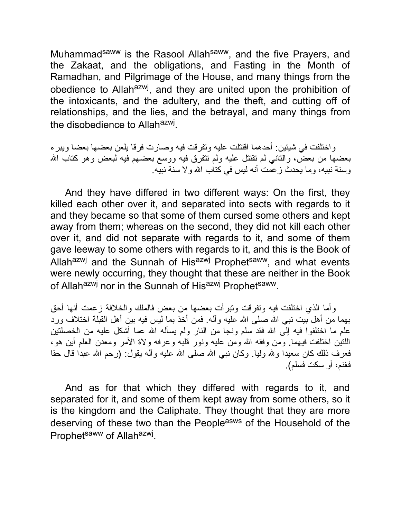Muhammad<sup>saww</sup> is the Rasool Allah<sup>saww</sup>, and the five Prayers, and the Zakaat, and the obligations, and Fasting in the Month of Ramadhan, and Pilgrimage of the House, and many things from the obedience to Allah<sup>azwj</sup>, and they are united upon the prohibition of the intoxicants, and the adultery, and the theft, and cutting off of relationships, and the lies, and the betrayal, and many things from the disobedience to Allah<sup>azwj</sup>.

واختلفت في شیئین: أحدهما اقتتلت علیه وتفرقت فیه وصارت فرقا یلعن بعضها بعضا ویبرء بعضها من بعض، والثاني لم تقتتل علیه ولم تتفرق فیه ووسع بعضهم فیه لبعض وهو كتاب االله وسنة نبیه، وما یحدث زعمت أنه لیس في كتاب االله ولا سنة نبیه.

And they have differed in two different ways: On the first, they killed each other over it, and separated into sects with regards to it and they became so that some of them cursed some others and kept away from them; whereas on the second, they did not kill each other over it, and did not separate with regards to it, and some of them gave leeway to some others with regards to it, and this is the Book of Allahazwj and the Sunnah of Hisazwj Prophetsaww, and what events were newly occurring, they thought that these are neither in the Book of Allah<sup>azwj</sup> nor in the Sunnah of His<sup>azwj</sup> Prophet<sup>saww</sup>.

وأما الذي اختلفت فیه وتفرقت وتبرأت بعضها من بعض فالملك والخلافة زعمت أنها أحق بهما من أهل بیت نبي االله صلى االله علیه وآله. فمن أخذ بما لیس فیه بین أهل القبلة اختلاف ورد علم ما اختلفوا فیه إلى الله فقد سلم ونجا من النار ولم یسأله الله عما أشكل علیه من الخصلتین اللتین اختلفت فیهما. ومن وفقه االله ومن علیه ونور قلبه وعرفه ولاة الأمر ومعدن العلم أین هو، فعرف ذلك كان سعیدا ولله ولیا. وكان نبي الله صلى الله علیه وأله یقول: (رحم الله عبدا قال حقا فغنم، أو سكت فسلم).

And as for that which they differed with regards to it, and separated for it, and some of them kept away from some others, so it is the kingdom and the Caliphate. They thought that they are more deserving of these two than the People<sup>asws</sup> of the Household of the Prophet<sup>saww</sup> of Allah<sup>azwj</sup>.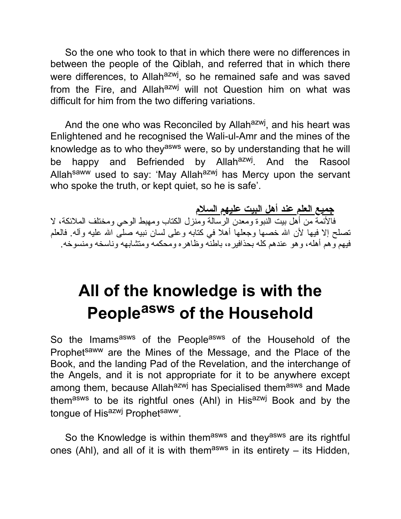So the one who took to that in which there were no differences in between the people of the Qiblah, and referred that in which there were differences, to Allah<sup>azwj</sup>, so he remained safe and was saved from the Fire, and Allah<sup>azwj</sup> will not Question him on what was difficult for him from the two differing variations.

And the one who was Reconciled by Allah<sup>azwj</sup>, and his heart was Enlightened and he recognised the Wali-ul-Amr and the mines of the knowledge as to who they<sup>asws</sup> were, so by understanding that he will be happy and Befriended by Allah<sup>azwj</sup>. And the Rasool Allah<sup>saww</sup> used to say: 'May Allah<sup>azwj</sup> has Mercy upon the servant who spoke the truth, or kept quiet, so he is safe'.

**جمیع العلم عند أهل البیت علیهم السلام** فالأئمة من أهل بیت النبوة ومعدن الرسالة ومنزل الكتاب ومهبط الوحي ومختلف الملائكة، لا تصلح إلا فیها لأن الله خصها وجعلها أهلا في كتابه وعلى لسان نبیه صلـَّى الله علیه وآله. فالعلم فیهم وهم أهله، وهو عندهم كله بحذافیره، باطنه وظاهره ومحكمه ومتشابهه وناسخه ومنسوخه.

## **All of the knowledge is with the People asws of the Household**

So the Imams<sup>asws</sup> of the People<sup>asws</sup> of the Household of the Prophet<sup>saww</sup> are the Mines of the Message, and the Place of the Book, and the landing Pad of the Revelation, and the interchange of the Angels, and it is not appropriate for it to be anywhere except among them, because Allah<sup>azwj</sup> has Specialised them<sup>asws</sup> and Made them<sup>asws</sup> to be its rightful ones (Ahl) in His<sup>azwj</sup> Book and by the tongue of Hisazwj Prophetsaww.

So the Knowledge is within themasws and theyasws are its rightful ones (Ahl), and all of it is with them<sup>asws</sup> in its entirety – its Hidden,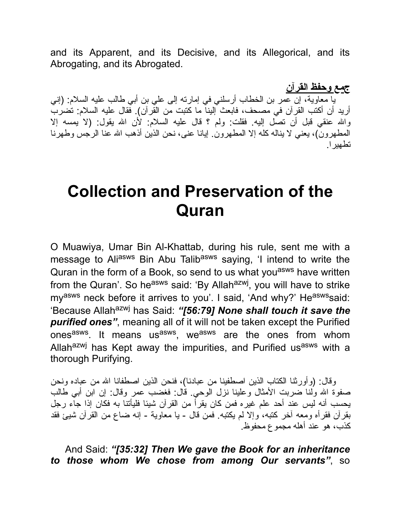and its Apparent, and its Decisive, and its Allegorical, and its Abrogating, and its Abrogated.

**جمع وحفظ القرآن** یا معاویة، إن عمر بن الخطاب أرسلني في إمارته إلى علي بن أبي طالب علیه السلام: (إني أرید أن أكتب القرآن في مصحف، فابعث إلینا ما كتبت من القرآن). فقال علیه السلام: تضرب واالله عنقي قبل أن تصل إلیه. فقلت: ولم ؟ قال علیه السلام: لأن االله یقول: (لا یمسه إلا المطهرون)، یعني لا یناله كله إلا المطهرون. إیانا عنى، نحن الذین أذهب االله عنا الرجس وطهرنا تطهیرا.

## **Collection and Preservation of the Quran**

O Muawiya, Umar Bin Al-Khattab, during his rule, sent me with a message to Aliasws Bin Abu Talibasws saying, 'I intend to write the Quran in the form of a Book, so send to us what you<sup>asws</sup> have written from the Quran'. So he<sup>asws</sup> said: 'By Allah<sup>azwj</sup>, you will have to strike my<sup>asws</sup> neck before it arrives to you'. I said, 'And why?' He<sup>asws</sup>said: 'Because Allah<sup>azwj</sup> has Said: "[56:79] None shall touch it save the *purified ones"*, meaning all of it will not be taken except the Purified ones<sup>asws</sup>. It means us<sup>asws</sup>, we<sup>asws</sup> are the ones from whom Allah<sup>azwj</sup> has Kept away the impurities, and Purified us<sup>asws</sup> with a thorough Purifying.

وقال: (وأورثنا الكتاب الذین اصطفینا من عبادنا)، فنحن الذین اصطفانا االله من عباده ونحن صفوة االله ولنا ضربت الأمثال وعلینا نزل الوحي. قال: فغضب عمر وقال: إن ابن أبي طالب یحسب أنه لیس عند أحد علم غیره فمن كان یقرأ من القرآن شیئا فلیأتنا به فكان إذا جاء رجل بقرآن فقرأه ومعه آخر كتبه، وإلا لم یكتبه. فمن قال - یا معاویة - إنه ضاع من القرآن شیئ فقد كذب، هو عند أهله مجموع محفوظ.

And Said: *"[35:32] Then We gave the Book for an inheritance to those whom We chose from among Our servants"*, so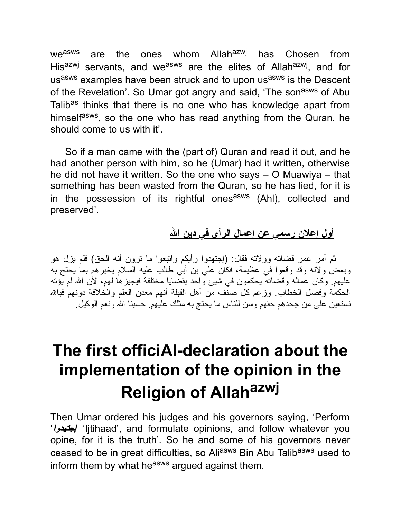we<sup>asws</sup> are the ones whom Allah<sup>azwj</sup> has Chosen from His<sup>azwj</sup> servants, and we<sup>asws</sup> are the elites of Allah<sup>azwj</sup>, and for usasws examples have been struck and to upon usasws is the Descent of the Revelation'. So Umar got angry and said, 'The son<sup>asws</sup> of Abu Talib<sup>as</sup> thinks that there is no one who has knowledge apart from himself<sup>asws</sup>, so the one who has read anything from the Quran, he should come to us with it'.

So if a man came with the (part of) Quran and read it out, and he had another person with him, so he (Umar) had it written, otherwise he did not have it written. So the one who says – O Muawiya – that something has been wasted from the Quran, so he has lied, for it is in the possession of its rightful ones<sup>asws</sup> (Ahl), collected and preserved'.

**أول إعلان رسمي عن إعمال الرأى في دین االله**

ثم أمر عمر قضاته وولاته فقال: (إجتهدوا رأیكم واتبعوا ما ترون أنه الحق) فلم یزل هو وبعض ولاته وقد وقعوا في عظیمة، فكان علي بن أبي طالب علیه السلام یخبرهم بما یحتج به علیهم. وكان عماله وقضاته یحكمون في شیئ واحد بقضایا مختلفة فیجیزها لهم، لأن االله لم یؤته الحكمة وفصل الخطاب. وزعم كل صنف من أهل القبلة أنهم معدن العلم والخلافة دونهم فبالله نستعین على من جحدهم حقهم وسن للناس ما یحتج به مثلك علیهم. حسبنا االله ونعم الوكیل.

## **The first officiAl-declaration about the implementation of the opinion in the Religion of Allah azwj**

Then Umar ordered his judges and his governors saying, 'Perform 'إجتهدوا' 'Ijtihaad', and formulate opinions, and follow whatever you opine, for it is the truth'. So he and some of his governors never ceased to be in great difficulties, so Aliasws Bin Abu Talibasws used to inform them by what he<sup>asws</sup> arqued against them.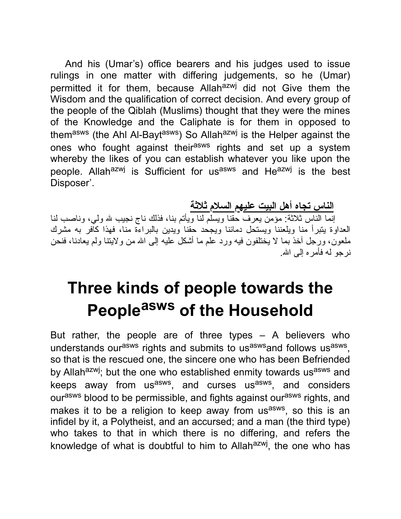And his (Umar's) office bearers and his judges used to issue rulings in one matter with differing judgements, so he (Umar) permitted it for them, because Allahazwj did not Give them the Wisdom and the qualification of correct decision. And every group of the people of the Qiblah (Muslims) thought that they were the mines of the Knowledge and the Caliphate is for them in opposed to themasws (the Ahl Al-Baytasws) So Allahazwj is the Helper against the ones who fought against their<sup>asws</sup> rights and set up a system whereby the likes of you can establish whatever you like upon the people. Allah<sup>azwj</sup> is Sufficient for us<sup>asws</sup> and He<sup>azwj</sup> is the best Disposer'.

**الناس تجاه أهل البیت علیهم السلام ثلاثة**

إنما الناس ثلاثة: مؤمن يعرف حقنا ويسلم لنا ويأتم بنا، فذلك ناج نجيب لله ولي، وناصب لنا العداوة یتبرأ منا ویلعننا ویستحل دمائنا ویجحد حقنا ویدین بالبراءة منا، فهذا كافر به مشرك ملعون، ورجل آخذ بما لا یختلفون فیه ورد علم ما أشكل علیه إلى االله من ولایتنا ولم یعادنا، فنحن نر جو له فأمر ه إلى الله.

## **Three kinds of people towards the People asws of the Household**

But rather, the people are of three types – A believers who understands our<sup>asws</sup> rights and submits to us<sup>asws</sup>and follows us<sup>asws</sup>, so that is the rescued one, the sincere one who has been Befriended by Allah<sup>azwj</sup>; but the one who established enmity towards us<sup>asws</sup> and keeps away from us<sup>asws</sup>, and curses us<sup>asws</sup>, and considers ourasws blood to be permissible, and fights against ourasws rights, and makes it to be a religion to keep away from us<sup>asws</sup>, so this is an infidel by it, a Polytheist, and an accursed; and a man (the third type) who takes to that in which there is no differing, and refers the knowledge of what is doubtful to him to Allah<sup>azwj</sup>, the one who has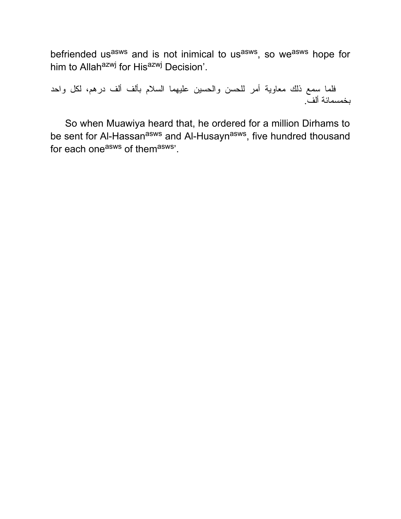befriended us<sup>asws</sup> and is not inimical to us<sup>asws</sup>, so we<sup>asws</sup> hope for him to Allah<sup>azwj</sup> for His<sup>azwj</sup> Decision'.

فلما سمع ذلك معاویة أمر للحسن والحسین علیهما السلام بألف ألف درهم، لكل واحد بخمسمائة ألف.

So when Muawiya heard that, he ordered for a million Dirhams to be sent for Al-Hassan<sup>asws</sup> and Al-Husayn<sup>asws</sup>, five hundred thousand for each one<sup>asws</sup> of them<sup>asws</sup>'.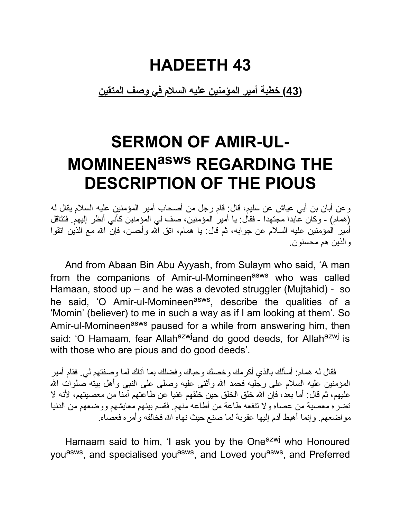## **HADEETH 43**

#### **(43) خطبة أمیر المؤمنین علیه السلام في وصف المتقین**

## **SERMON OF AMIR-UL-MOMINEENasws REGARDING THE DESCRIPTION OF THE PIOUS**

وعن أبان بن أبي عیاش عن سلیم، قال: قام رجل من أصحاب أمیر المؤمنین علیه السلام یقال له (همام) - وكان عابدا مجتهدا - فقال: یا أمیر المؤمنین، صف لي المؤمنین كأني أنظر إلیهم. فتثاقل أمیر المؤمنین علیه السلام عن جوابه، ثم قال: یا همام، اتق االله وأحسن، فإن االله مع الذین اتقوا والذین هم محسنون.

And from Abaan Bin Abu Ayyash, from Sulaym who said, 'A man from the companions of Amir-ul-Momineenasws who was called Hamaan, stood up – and he was a devoted struggler (Mujtahid) - so he said, 'O Amir-ul-Momineen<sup>asws</sup>, describe the qualities of a 'Momin' (believer) to me in such a way as if I am looking at them'. So Amir-ul-Momineen<sup>asws</sup> paused for a while from answering him, then said: 'O Hamaam, fear Allah<sup>azwj</sup>and do good deeds, for Allah<sup>azwj</sup> is with those who are pious and do good deeds'.

فقال له همام: أسألك بالذي أكرمك وخصك وحباك وفضلك بما آتاك لما وصفتهم لي. فقام أمیر المؤمنین علیه السلام على رجلیه فحمد االله وأثنى علیه وصلى على النبي وأهل بیته صلوات االله علیهم، ثم قال: أما بعد، فإن االله خلق الخلق حین خلقهم غنیا عن طاعتهم آمنا من معصیتهم، لأنه لا تضره معصیة من عصاه ولا تنفعه طاعة من أطاعه منهم. فقسم بینهم معایشهم ووضعهم من الدنیا مواضعهم. وإنما أهبط آدم إلیها عقوبة لما صنع حیث نهاه االله فخالفه وأمره فعصاه.

Hamaam said to him, 'I ask you by the One<sup>azwj</sup> who Honoured you<sup>asws</sup>, and specialised you<sup>asws</sup>, and Loved you<sup>asws</sup>, and Preferred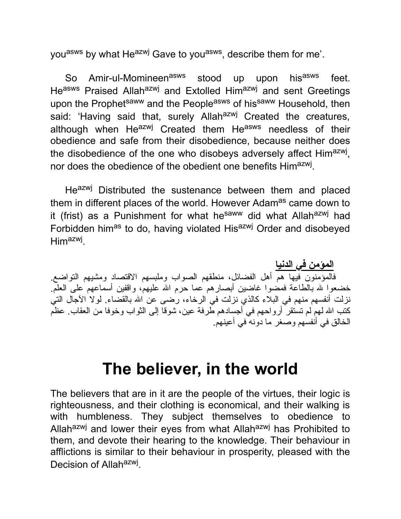you<sup>asws</sup> by what He<sup>azwj</sup> Gave to you<sup>asws</sup>, describe them for me'.

So Amir-ul-Momineen<sup>asws</sup> stood up upon his<sup>asws</sup> feet. Heasws Praised Allahazwj and Extolled Himazwj and sent Greetings upon the Prophet<sup>saww</sup> and the People<sup>asws</sup> of his<sup>saww</sup> Household, then said: 'Having said that, surely Allah<sup>azwj</sup> Created the creatures, although when He<sup>azwj</sup> Created them He<sup>asws</sup> needless of their obedience and safe from their disobedience, because neither does the disobedience of the one who disobeys adversely affect Him<sup>azwj</sup>, nor does the obedience of the obedient one benefits Him<sup>azwj</sup>.

Heazwj Distributed the sustenance between them and placed them in different places of the world. However Adam<sup>as</sup> came down to it (frist) as a Punishment for what he<sup>saww</sup> did what Allah<sup>azwj</sup> had Forbidden him<sup>as</sup> to do, having violated His<sup>azwj</sup> Order and disobeyed Him<sup>azwj</sup>.

**المؤمن في الدنیا** فالمؤمنون فیها هم أهل الفضائل، منطقهم الصواب وملبسهم الاقتصاد ومشیهم التواضع. خضعوا لله بالطاعة فمضوا غاضین أبصارهم عما حرم الله علیهم، واقفین أسماعهم على العلم نزلت أنفسهم منهم في البلاء كالذي نزلت في الرخاء، رضى عن االله بالقضاء. لولا الآجال التي كتب االله لهم لم تستقر أرواحهم في أجسادهم طرفة عین، شوقا إلى الثواب وخوفا من العقاب. عظم الخالق في أنفسهم وصغر ما دونه في أعینهم.

#### **The believer, in the world**

The believers that are in it are the people of the virtues, their logic is righteousness, and their clothing is economical, and their walking is with humbleness. They subject themselves to obedience to Allah<sup>azwj</sup> and lower their eyes from what Allah<sup>azwj</sup> has Prohibited to them, and devote their hearing to the knowledge. Their behaviour in afflictions is similar to their behaviour in prosperity, pleased with the Decision of Allah<sup>azwj</sup>.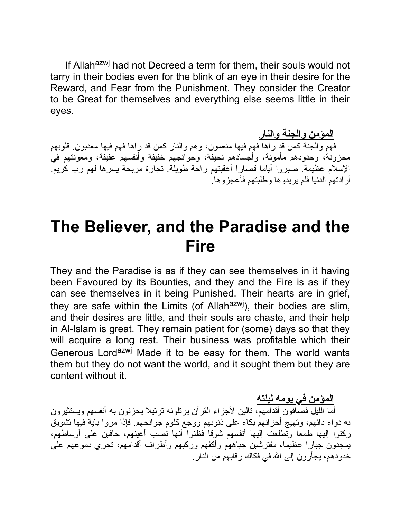If Allah<sup>azwj</sup> had not Decreed a term for them, their souls would not tarry in their bodies even for the blink of an eye in their desire for the Reward, and Fear from the Punishment. They consider the Creator to be Great for themselves and everything else seems little in their eyes.

**المؤمن والجنة والنار** فهم والجنة كمن قد رآها فهم فیها منعمون، وهم والنار كمن قد رآها فهم فیها معذبون. قلوبهم محزونة، وحدودهم مأمونة، وأجسادهم نحیفة، وحوائجهم خفیفة وأنفسهم عفیفة، ومعونتهم في الإسلام عظیمة. صبروا أیاما قصارا أعقبتهم راحة طویلة. تجارة مربحة یسرها لهم رب كریم. أرادتهم الدنیا فلم یریدوها وطلبتهم فأعجزوها.

#### **The Believer, and the Paradise and the Fire**

They and the Paradise is as if they can see themselves in it having been Favoured by its Bounties, and they and the Fire is as if they can see themselves in it being Punished. Their hearts are in grief, they are safe within the Limits (of Allah $a$ <sup>zwj</sup>), their bodies are slim, and their desires are little, and their souls are chaste, and their help in Al-Islam is great. They remain patient for (some) days so that they will acquire a long rest. Their business was profitable which their Generous Lord<sup>azwj</sup> Made it to be easy for them. The world wants them but they do not want the world, and it sought them but they are content without it.

**المؤمن في یومه لیلته**

أما اللیل فصافون أقدامهم، تالین لأجزاء القرآن یرتلونه ترتیلا یحزنون به أنفسهم ویستثیرون به دواء دائهم، وتهیج أحزانهم بكاء على ذنوبهم ووجع كلوم جوانحهم. فإذا مروا بآیة فیها تشویق ركنوا إلیها طمعا وتطلعت إلیها أنفسهم شوقا فظنوا أنها نصب أعینهم، حافین على أوساطهم، یمجدون جبارا عظیما، مفترشین جباههم وأكفهم وركبهم وأطراف أقدامهم، تجري دموعهم على خدودهم، یجأرون إلى االله في فكاك رقابهم من النار.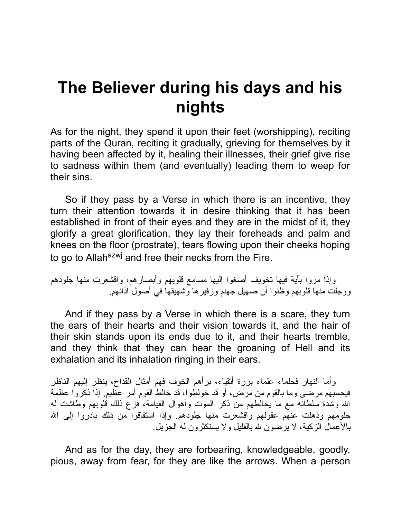### **The Believer during his days and his nights**

As for the night, they spend it upon their feet (worshipping), reciting parts of the Quran, reciting it gradually, grieving for themselves by it having been affected by it, healing their illnesses, their grief give rise to sadness within them (and eventually) leading them to weep for their sins.

So if they pass by a Verse in which there is an incentive, they turn their attention towards it in desire thinking that it has been established in front of their eyes and they are in the midst of it, they glorify a great glorification, they lay their foreheads and palm and knees on the floor (prostrate), tears flowing upon their cheeks hoping to go to Allah<sup>azwj</sup> and free their necks from the Fire.

وإذا مروا بآیة فیها تخویف أصغوا إلیها مسامع قلوبهم وأبصارهم، واقشعرت منها جلودهم ووجلت منها قلوبهم وظنوا أن صهیل جهنم وزفیرها وشهیقها في أصول آذانهم.

And if they pass by a Verse in which there is a scare, they turn the ears of their hearts and their vision towards it, and the hair of their skin stands upon its ends due to it, and their hearts tremble, and they think that they can hear the groaning of Hell and its exhalation and its inhalation ringing in their ears.

وأما النهار فحلماء علماء بررة أتقیاء، برأهم الخوف فهم أمثال القداح، ینظر إلیهم الناظر فیحسبهم مرضى وما بالقوم من مرض، أو قد خولطوا، قد خالط القوم أمر عظیم. إذا ذكروا عظمة االله وشدة سلطانه مع ما یخالطهم من ذكر الموت وأهوال القیامة، فزع ذلك قلوبهم وطاشت له حلومهم وذهلت عنهم عقولهم واقشعرت منها جلودهم. وإذا استفاقوا من ذلك بادروا إلى الله بالأعمال الزكیة، لا یرضون الله بالقلیل ولا یستكثرون له الجزیل.

And as for the day, they are forbearing, knowledgeable, goodly, pious, away from fear, for they are like the arrows. When a person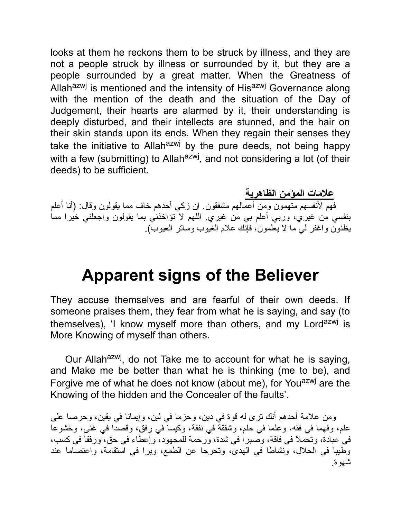looks at them he reckons them to be struck by illness, and they are not a people struck by illness or surrounded by it, but they are a people surrounded by a great matter. When the Greatness of Allah<sup>azwj</sup> is mentioned and the intensity of His<sup>azwj</sup> Governance along with the mention of the death and the situation of the Day of Judgement, their hearts are alarmed by it, their understanding is deeply disturbed, and their intellects are stunned, and the hair on their skin stands upon its ends. When they regain their senses they take the initiative to Allah<sup>azwj</sup> by the pure deeds, not being happy with a few (submitting) to Allah<sup>azwj</sup>, and not considering a lot (of their deeds) to be sufficient.

**علامات المؤمن الظاهریة** فهم لأنفسهم متهمون ومن أعمالهم مشفقون. إن زكي أحدهم خاف مما یقولون وقال: (أنا أعلم بنفسي من غیري، وربي أعلم بي من غیري. اللهم لا تؤاخذني بما یقولون واجعلني خیرا مما یظنون واغفر لي ما لا یعلمون، فإنك علام الغیوب وساتر العیوب).

#### **Apparent signs of the Believer**

They accuse themselves and are fearful of their own deeds. If someone praises them, they fear from what he is saying, and say (to themselves), 'I know myself more than others, and my Lord<sup>azwj</sup> is More Knowing of myself than others.

Our Allah<sup>azwj</sup>, do not Take me to account for what he is saying, and Make me be better than what he is thinking (me to be), and Forgive me of what he does not know (about me), for You<sup>azwj</sup> are the Knowing of the hidden and the Concealer of the faults'.

ومن علامة أحدهم أنك ترى له قوة في دین، وحزما في لین، وإیمانا في یقین، وحرصا على علم، وفهما في فقه، وعلما في حلم، وشفقة في نفقة، وكیسا في رفق، وقصدا في غنى، وخشوعا في عبادة، وتحملا في فاقة، وصبرا في شدة، ورحمة للمجهود، وإعطاء في حق، ورفقا في كسب، وطیبا في الحلال، ونشاطا في الهدى، وتحرجا عن الطمع، وبرا في استقامة، واعتصاما عند شهوة.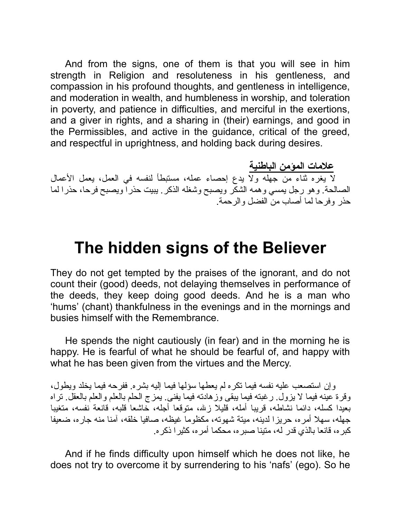And from the signs, one of them is that you will see in him strength in Religion and resoluteness in his gentleness, and compassion in his profound thoughts, and gentleness in intelligence, and moderation in wealth, and humbleness in worship, and toleration in poverty, and patience in difficulties, and merciful in the exertions, and a giver in rights, and a sharing in (their) earnings, and good in the Permissibles, and active in the guidance, critical of the greed, and respectful in uprightness, and holding back during desires.

**علامات المؤمن الباطنیة** لا یغره ثناء من جهله ولا یدع إحصاء عمله، مستبطأ لنفسه في العمل، یعمل الأعمال الصالحة. وهو رجل یمسي وهمه الشكر ویصبح وشغله الذكر. یبیت حذرا ویصبح فرحا، حذرا لما حذر وفرحا لما أصاب من الفضل والرحمة.

#### **The hidden signs of the Believer**

They do not get tempted by the praises of the ignorant, and do not count their (good) deeds, not delaying themselves in performance of the deeds, they keep doing good deeds. And he is a man who 'hums' (chant) thankfulness in the evenings and in the mornings and busies himself with the Remembrance.

He spends the night cautiously (in fear) and in the morning he is happy. He is fearful of what he should be fearful of, and happy with what he has been given from the virtues and the Mercy.

وإن استصعب علیه نفسه فیما تكره لم یعطها سؤلها فیما إلیه بشره. ففرحه فیما یخلد ویطول، وقرة عینه فیما لا یزول. رغبته فیما یبقى وزهادته فیما یفنى. یمزج الحلم بالعلم والعلم بالعقل. تراه بعیدا كسله، دائما نشاطه، قریبا أمله، قلیلا زالله، متوقعا أجله، خاشعا قلبه، قانعة نفسه، متغیبا جهله، سهلا أمره، حریزا لدینه، میتة شهوته، مكظوما غیظه، صافیا خلقه، آمنا منه جاره، ضعیفا كبره، قانعا بالذي قدر له، متینا صبره، محكما أمره، كثیرا ذكره.

And if he finds difficulty upon himself which he does not like, he does not try to overcome it by surrendering to his 'nafs' (ego). So he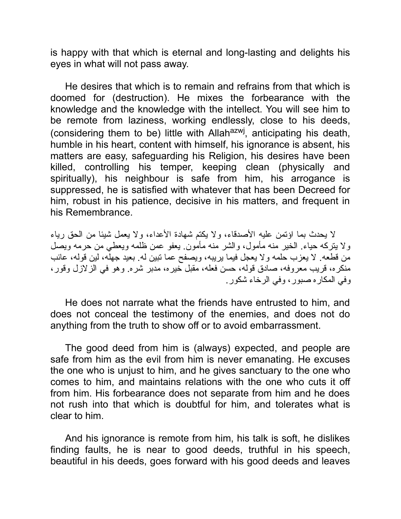is happy with that which is eternal and long-lasting and delights his eyes in what will not pass away.

He desires that which is to remain and refrains from that which is doomed for (destruction). He mixes the forbearance with the knowledge and the knowledge with the intellect. You will see him to be remote from laziness, working endlessly, close to his deeds, (considering them to be) little with Allah<sup>azwj</sup>, anticipating his death, humble in his heart, content with himself, his ignorance is absent, his matters are easy, safeguarding his Religion, his desires have been killed, controlling his temper, keeping clean (physically and spiritually), his neighbour is safe from him, his arrogance is suppressed, he is satisfied with whatever that has been Decreed for him, robust in his patience, decisive in his matters, and frequent in his Remembrance.

لا یحدث بما اؤتمن علیه الأصدقاء، ولا یكتم شهادة الأعداء، ولا یعمل شیئا من الحق ریاء ولا یتركه حیاء. الخیر منه مأمول، والشر منه مأمون. یعفو عمن ظلمه ویعطي من حرمه ویصل من قطعه. لا یعزب حلمه ولا یعجل فیما یریبه، ویصفح عما تبین له. بعید جهله، لین قوله، عائب منكره، قریب معروفه، صادق قوله، حسن فعله، مقبل خیره، مدبر شره. وهو في الزلازل وقور، وفي المكاره صبور، وفي الرخاء شكور.

He does not narrate what the friends have entrusted to him, and does not conceal the testimony of the enemies, and does not do anything from the truth to show off or to avoid embarrassment.

The good deed from him is (always) expected, and people are safe from him as the evil from him is never emanating. He excuses the one who is unjust to him, and he gives sanctuary to the one who comes to him, and maintains relations with the one who cuts it off from him. His forbearance does not separate from him and he does not rush into that which is doubtful for him, and tolerates what is clear to him.

And his ignorance is remote from him, his talk is soft, he dislikes finding faults, he is near to good deeds, truthful in his speech, beautiful in his deeds, goes forward with his good deeds and leaves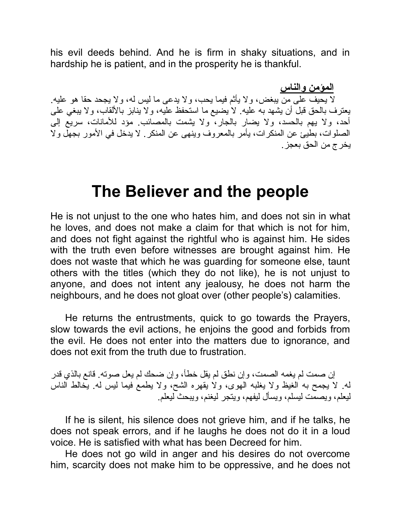his evil deeds behind. And he is firm in shaky situations, and in hardship he is patient, and in the prosperity he is thankful.

**المؤمن والناس** لا یحیف على من یبغض، ولا یأثم فیما یحب، ولا یدعى ما لیس له، ولا یجحد حقا هو علیه. یعترف بالحق قبل أن یشهد به علیه. لا یضیع ما استحفظ علیه، ولا ینابز بالألقاب، ولا یبغي على أحد، ولا یهم بالحسد، ولا یضار بالجار، ولا یشمت بالمصائب. مؤد للأمانات، سریع إلى الصلوات، بطیئ عن المنكرات، یأمر بالمعروف وینهى عن المنكر. لا یدخل في الأمور بجهل ولا یخرج من الحق بعجز.

#### **The Believer and the people**

He is not unjust to the one who hates him, and does not sin in what he loves, and does not make a claim for that which is not for him, and does not fight against the rightful who is against him. He sides with the truth even before witnesses are brought against him. He does not waste that which he was guarding for someone else, taunt others with the titles (which they do not like), he is not unjust to anyone, and does not intent any jealousy, he does not harm the neighbours, and he does not gloat over (other people's) calamities.

He returns the entrustments, quick to go towards the Prayers, slow towards the evil actions, he enjoins the good and forbids from the evil. He does not enter into the matters due to ignorance, and does not exit from the truth due to frustration.

إن صمت لم یغمه الصمت، وإن نطق لم یقل خطأ، وإن ضحك لم یعل صوته. قانع بالذي قدر له. لا یجمح به الغیظ ولا یغلبه الهوى، ولا یقهره الشح، ولا یطمع فیما لیس له. یخالط الناس لیعلم، ویصمت لیسلم، ویسأل لیفهم، ویتجر لیغنم، ویبحث لیعلم.

If he is silent, his silence does not grieve him, and if he talks, he does not speak errors, and if he laughs he does not do it in a loud voice. He is satisfied with what has been Decreed for him.

He does not go wild in anger and his desires do not overcome him, scarcity does not make him to be oppressive, and he does not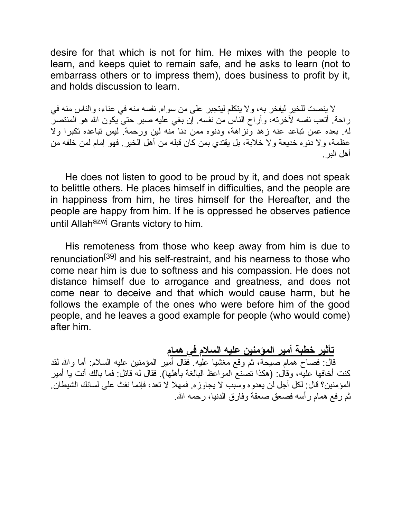desire for that which is not for him. He mixes with the people to learn, and keeps quiet to remain safe, and he asks to learn (not to embarrass others or to impress them), does business to profit by it, and holds discussion to learn.

لا ینصت للخیر لیفخر به، ولا یتكلم لیتجبر على من سواه. نفسه منه في عناء، والناس منه في راحة. أتعب نفسه لآخرته، وأراح الناس من نفسه. إن بغي علیه صبر حتى یكون االله هو المنتصر له. بعده عمن تباعد عنه زهد ونزاهة، ودنوه ممن دنا منه لین ورحمة. لیس تباعده تكبرا ولا عظمة، ولا دنوه خدیعة ولا خلابة، بل یقتدي بمن كان قبله من أهل الخیر. فهو إمام لمن خلفه من أهل البر.

He does not listen to good to be proud by it, and does not speak to belittle others. He places himself in difficulties, and the people are in happiness from him, he tires himself for the Hereafter, and the people are happy from him. If he is oppressed he observes patience until Allah<sup>azwj</sup> Grants victory to him.

His remoteness from those who keep away from him is due to renunciation[39] and his self-restraint, and his nearness to those who come near him is due to softness and his compassion. He does not distance himself due to arrogance and greatness, and does not come near to deceive and that which would cause harm, but he follows the example of the ones who were before him of the good people, and he leaves a good example for people (who would come) after him.

**تأثیر خطبة أمیر المؤمنین علیه السلام في همام** قال: فصاح همام صیحة، ثم وقع مغشیا علیه. فقال أمیر المؤمنین علیه السلام: أما واالله لقد كنت أخافها علیه، وقال: (هكذا تصنع المواعظ البالغة بأهلها). فقال له قائل: فما بالك أنت یا أمیر المؤمنین؟ قال: لكل أجل لن یعدوه وسبب لا یجاوزه. فمهلا لا تعد، فإنما نفث على لسانك الشیطان. ثم رفع همام رأسه فصعق صعقة وفارق الدنیا، رحمه االله.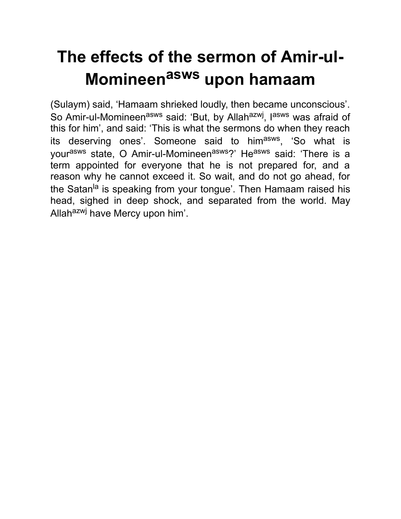# **The effects of the sermon of Amir-ul-Momineen asws upon hamaam**

(Sulaym) said, 'Hamaam shrieked loudly, then became unconscious'. So Amir-ul-Momineen<sup>asws</sup> said: 'But, by Allah<sup>azwj</sup>, l<sup>asws</sup> was afraid of this for him', and said: 'This is what the sermons do when they reach its deserving ones'. Someone said to him<sup>asws</sup>, 'So what is yourasws state, O Amir-ul-Momineenasws?' Heasws said: 'There is a term appointed for everyone that he is not prepared for, and a reason why he cannot exceed it. So wait, and do not go ahead, for the Satan<sup>la</sup> is speaking from your tongue'. Then Hamaam raised his head, sighed in deep shock, and separated from the world. May Allah<sup>azwj</sup> have Mercy upon him'.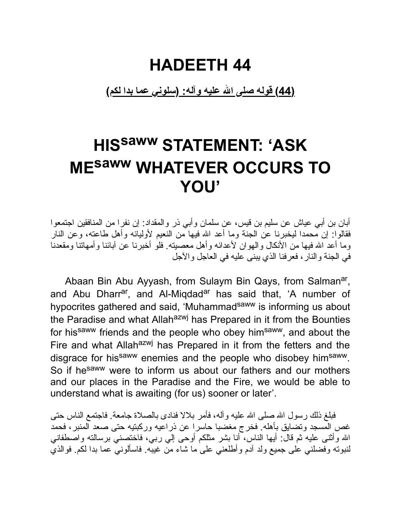#### **HADEETH 44**

**(44) قوله صلى االله علیه وآله: (سلوني عما بدا لكم)**

## **HIS saww STATEMENT: 'ASK ME saww WHATEVER OCCURS TO YOU'**

أبان بن أبي عیاش عن سلیم بن قیس، عن سلمان وأبي ذر والمقداد: إن نفرا من المنافقین اجتمعوا فقالوا: إن محمدا لیخبرنا عن الجنة وما أعد االله فیها من النعیم لأولیائه وأهل طاعته، وعن النار وما أعد الله فیها من الأنكال والهوان لأعدائه وأهل معصبته. فلو أخبرنا عن آبائنا وأمهاتنا ومقعدنا في الجنة والنار، فعرفنا الذي یبنى علیه في العاجل والآجل

Abaan Bin Abu Ayyash, from Sulaym Bin Qays, from Salman<sup>ar</sup>, and Abu Dharr<sup>ar</sup>, and Al-Miqdad<sup>ar</sup> has said that, 'A number of hypocrites gathered and said, 'Muhammad<sup>saww</sup> is informing us about the Paradise and what Allah<sup>azwj</sup> has Prepared in it from the Bounties for his<sup>saww</sup> friends and the people who obey him<sup>saww</sup>, and about the Fire and what Allah<sup>azwj</sup> has Prepared in it from the fetters and the disgrace for hissaww enemies and the people who disobey himsaww. So if he<sup>saww</sup> were to inform us about our fathers and our mothers and our places in the Paradise and the Fire, we would be able to understand what is awaiting (for us) sooner or later'.

فبلغ ذلك رسول الله صلى الله علیه و آله، فأمر بلالا فنادى بالصلاة جامعة. فاجتمع الناس حتى غص المسجد وتضایق بأهله. فخرج مغضبا حاسرا عن ذراعیه وركبتیه حتى صعد المنبر، فحمد االله وأثنى علیه ثم قال: أیها الناس، أنا بشر مثلكم أوحى إلي ربي، فاختصني برسالته واصطفاني لنبوته وفضلني على جمیع ولد آدم وأطلعني على ما شاء من غیبه. فاسألوني عما بدا لكم. فوالذي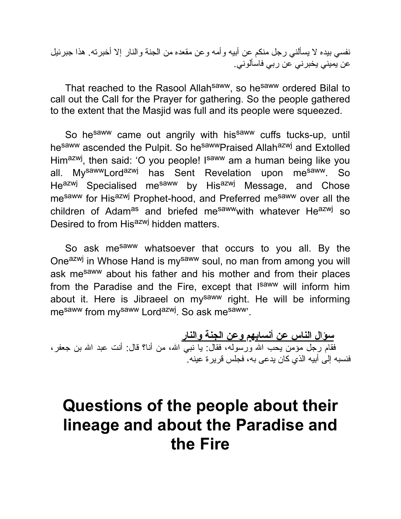نفسي بیده لا یسألني رجل منكم عن أبیه وأمه وعن مقعده من الجنة والنار إلا أخبرته. هذا جبرئیل عن یمیني یخبرني عن ربي فاسألوني.

That reached to the Rasool Allah<sup>saww</sup>, so he<sup>saww</sup> ordered Bilal to call out the Call for the Prayer for gathering. So the people gathered to the extent that the Masjid was full and its people were squeezed.

So hesaww came out angrily with hissaww cuffs tucks-up, until hesaww ascended the Pulpit. So hesawwPraised Allahazwj and Extolled Him<sup>azwj</sup>, then said: 'O you people! I<sup>saww</sup> am a human being like you all. My<sup>saww</sup>Lord<sup>azwj</sup> has Sent Revelation upon me<sup>saww</sup>. So He<sup>azwj</sup> Specialised me<sup>saww</sup> by His<sup>azwj</sup> Message, and Chose me<sup>saww</sup> for His<sup>azwj</sup> Prophet-hood, and Preferred me<sup>saww</sup> over all the children of Adam<sup>as</sup> and briefed me<sup>saww</sup>with whatever He<sup>azwj</sup> so Desired to from Hisazwj hidden matters.

So ask me<sup>saww</sup> whatsoever that occurs to you all. By the One<sup>azwj</sup> in Whose Hand is my<sup>saww</sup> soul, no man from among you will ask mesaww about his father and his mother and from their places from the Paradise and the Fire, except that Isaww will inform him about it. Here is Jibraeel on mysaww right. He will be informing mesaww from mysaww Lordazwj. So ask mesaww'.

**سؤال الناس عن أنسابهم وعن الجنة والنار** فقام رجل مؤمن یحب الله ورسوله، فقال: یا نبی الله، من أنا؟ قال: أنت عبد الله بن جعفر ، فنسبه إلى أبیه الذي كان یدعى به، فجلس قریرة عینه.

#### **Questions of the people about their lineage and about the Paradise and the Fire**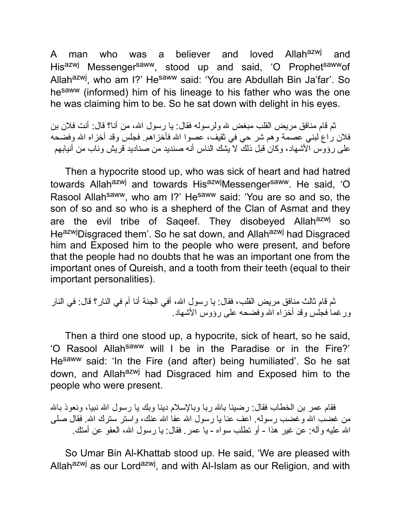A man who was a believer and loved Allah<sup>azwj</sup> and Hisazwj Messengersaww, stood up and said, 'O Prophetsawwof Allah<sup>azwj</sup>, who am I?' He<sup>saww</sup> said: 'You are Abdullah Bin Ja'far'. So he<sup>saww</sup> (informed) him of his lineage to his father who was the one he was claiming him to be. So he sat down with delight in his eyes.

ثم قام منافق مریض القلب مبغض الله ولرسوله فقال: یا رسول االله، من أنا؟ قال: أنت فلان بن فلان راع لبني عصمة وهم شر حي في ثقیف، عصوا االله فأخزاهم. فجلس وقد أخزاه االله وفضحه على رؤوس الأشهاد، وكان قبل ذلك لا یشك الناس أنه صندید من صنادید قریش وناب من أنیابهم

Then a hypocrite stood up, who was sick of heart and had hatred towards Allah<sup>azwj</sup> and towards His<sup>azwj</sup>Messenger<sup>saww</sup>. He said, 'O Rasool Allah<sup>saww</sup>, who am I?' He<sup>saww</sup> said: 'You are so and so, the son of so and so who is a shepherd of the Clan of Asmat and they are the evil tribe of Saqeef. They disobeyed Allahazwj so HeazwjDisgraced them'. So he sat down, and Allah<sup>azwj</sup> had Disgraced him and Exposed him to the people who were present, and before that the people had no doubts that he was an important one from the important ones of Qureish, and a tooth from their teeth (equal to their important personalities).

ثم قام ثالث منافق مریض القلب، فقال: یا رسول االله، أفي الجنة أنا أم في النار؟ قال: في النار ورغما فجلس وقد أخزاه االله وفضحه على رؤوس الأشهاد.

Then a third one stood up, a hypocrite, sick of heart, so he said, 'O Rasool Allahsaww will I be in the Paradise or in the Fire?' He<sup>saww</sup> said: 'In the Fire (and after) being humiliated'. So he sat down, and Allah<sup>azwj</sup> had Disgraced him and Exposed him to the people who were present.

فقام عمر ً بن الخطاب فقال: رضینا بالله ربا وبالإسلام دینا وبك یا رسول الله نبیا، ونعوذ بالله من غضب الله وغضب رسوله. اعف عنا یا رسول الله عفا الله عنك، واستر سترك الله. فقال صلى االله علیه وآله: عن غیر هذا - أو تطلب سواه - یا عمر. فقال: یا رسول االله، العفو عن أمتك.

So Umar Bin Al-Khattab stood up. He said, 'We are pleased with Allah<sup>azwj</sup> as our Lord<sup>azwj</sup>, and with Al-Islam as our Religion, and with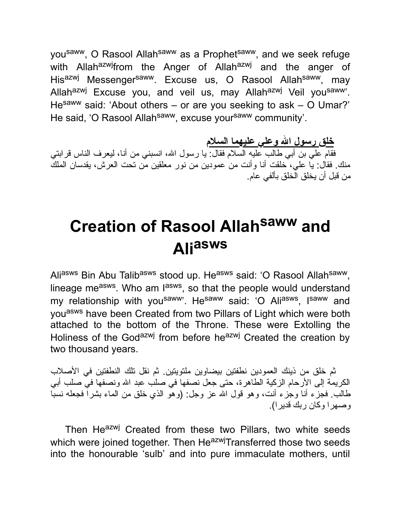you<sup>saww</sup>, O Rasool Allah<sup>saww</sup> as a Prophet<sup>saww</sup>, and we seek refuge with Allah<sup>azwj</sup>from the Anger of Allah<sup>azwj</sup> and the anger of His<sup>azwj</sup> Messenger<sup>saww</sup>. Excuse us, O Rasool Allah<sup>saww</sup>, may Allahazwj Excuse you, and veil us, may Allahazwj Veil yousaww'. Hesaww said: 'About others – or are you seeking to ask – O Umar?' He said, 'O Rasool Allah<sup>saww</sup>, excuse your<sup>saww</sup> community'.

**خلق رسول االله وعلي علیهما السلام**

فقام علي بن أبي طالب علیه السلام فقال: یا رسول االله، انسبني من أنا، لیعرف الناس قرابتي منك. فقال: یا علي، خلقت أنا وأنت من عمودین من نور معلقین من تحت العرش، یقدسان الملك من قبل أن یخلق الخلق بألفي عام.

# **Creation of Rasool Allah saww and Ali asws**

Aliasws Bin Abu Talibasws stood up. Heasws said: 'O Rasool Allahsaww, lineage me<sup>asws</sup>. Who am l<sup>asws</sup>, so that the people would understand my relationship with you<sup>saww</sup>'. He<sup>saww</sup> said: 'O Ali<sup>asws</sup>, I<sup>saww</sup> and youasws have been Created from two Pillars of Light which were both attached to the bottom of the Throne. These were Extolling the Holiness of the Godazwj from before heazwj Created the creation by two thousand years.

ثم خلق من ذینك العمودین نطفتین بیضاوین ملتویتین. ثم نقل تلك النطفتین في الأصلاب الكریمة إلى الأرحام الزكیة الطاهرة، حتى جعل نصفها في صلب عبد االله ونصفها في صلب أبي طالب. فجزء أنا وجزء أنت، وهو قول االله عز وجل: (وهو الذي خلق من الماء بشرا فجعله نسبا وصهرا وكان ربك قدیرا).

Then Heazwj Created from these two Pillars, two white seeds which were joined together. Then He<sup>azwj</sup>Transferred those two seeds into the honourable 'sulb' and into pure immaculate mothers, until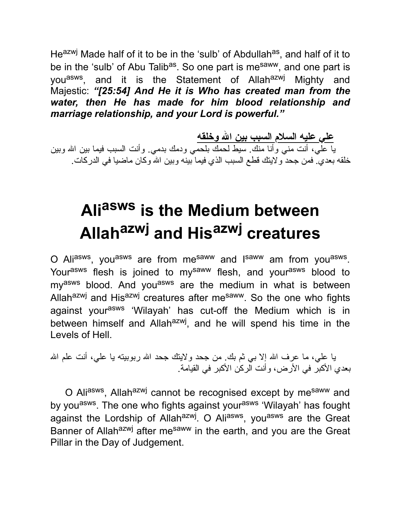He<sup>azwj</sup> Made half of it to be in the 'sulb' of Abdullah<sup>as</sup>, and half of it to be in the 'sulb' of Abu Talib<sup>as</sup>. So one part is me<sup>saww</sup>, and one part is you<sup>asws</sup>, and it is the Statement of Allah<sup>azwj</sup> Mighty and Majestic: *"[25:54] And He it is Who has created man from the water, then He has made for him blood relationship and marriage relationship, and your Lord is powerful."*

**علي علیه السلام السبب بین االله وخلقه** یا علي، أنت مني وأنا منك. سیط لحمك بلحمي ودمك بدمي. وأنت السبب فیما بین االله وبین خلقه بعدي. فمن جحد ولایتك قطع السبب الذي فیما بینه وبین االله وكان ماضیا في الدركات.

# **Ali asws is the Medium between Allah azwj and His azwj creatures**

O Ali<sup>asws</sup>, you<sup>asws</sup> are from me<sup>saww</sup> and l<sup>saww</sup> am from you<sup>asws</sup>. Yourasws flesh is joined to mysaww flesh, and yourasws blood to my<sup>asws</sup> blood. And you<sup>asws</sup> are the medium in what is between Allah<sup>azwj</sup> and His<sup>azwj</sup> creatures after me<sup>saww</sup>. So the one who fights against your<sup>asws</sup> 'Wilayah' has cut-off the Medium which is in between himself and Allah<sup>azwj</sup>, and he will spend his time in the Levels of Hell.

یا علي، ما عرف االله إلا بي ثم بك. من جحد ولایتك جحد االله ربوبیته یا علي، أنت علم االله بعدي الأكبر في الأرض، وأنت الركن الأكبر في القیامة.

O Ali<sup>asws</sup>, Allah<sup>azwj</sup> cannot be recognised except by me<sup>saww</sup> and by you<sup>asws</sup>. The one who fights against your<sup>asws</sup> 'Wilayah' has fought against the Lordship of Allah<sup>azwj</sup>. O Ali<sup>asws</sup>, you<sup>asws</sup> are the Great Banner of Allah<sup>azwj</sup> after me<sup>saww</sup> in the earth, and you are the Great Pillar in the Day of Judgement.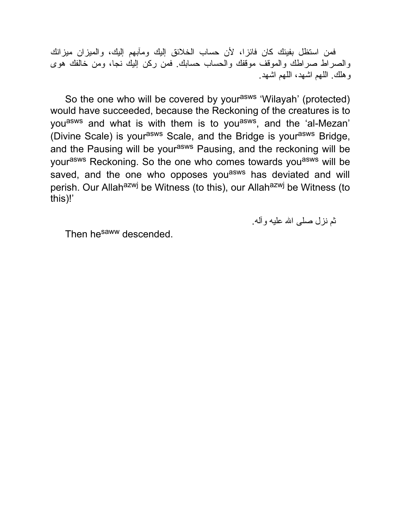فمن استظل بفیئك كان فائزا، لأن حساب الخلائق إلیك ومآبهم إلیك، والمیزان میزانك والصراط صراطك والموقف موقفك والحساب حسابك. فمن ركن إلیك نجا، ومن خالفك هوى وهلك. اللهم اشهد، اللهم اشهد.

So the one who will be covered by your<sup>asws</sup> 'Wilayah' (protected) would have succeeded, because the Reckoning of the creatures is to you<sup>asws</sup> and what is with them is to you<sup>asws</sup>, and the 'al-Mezan' (Divine Scale) is your<sup>asws</sup> Scale, and the Bridge is your<sup>asws</sup> Bridge, and the Pausing will be your<sup>asws</sup> Pausing, and the reckoning will be yourasws Reckoning. So the one who comes towards you<sup>asws</sup> will be saved, and the one who opposes you<sup>asws</sup> has deviated and will perish. Our Allah<sup>azwj</sup> be Witness (to this), our Allah<sup>azwj</sup> be Witness (to this)!'

ثم نزل صلى االله علیه وآله.

Then he<sup>saww</sup> descended.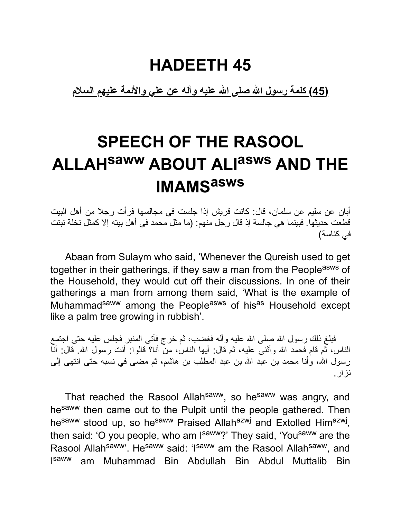#### **HADEETH 45**

**(45) كلمة رسول االله صلى االله علیه وآله عن علي والأئمة علیهم السلام**

## **SPEECH OF THE RASOOL ALLAHsaww ABOUT ALI asws AND THE IMAMS asws**

أبان عن سلیم عن سلمان، قال: كانت قریش إذا جلست في مجالسها فرأت رجلا من أهل البیت قطعت حدیثها. فبینما هي جالسة إذ قال رجل منهم: (ما مثل محمد في أهل بیته إلا كمثل نخلة نبتت في كناسة)

Abaan from Sulaym who said, 'Whenever the Qureish used to get together in their gatherings, if they saw a man from the People<sup>asws</sup> of the Household, they would cut off their discussions. In one of their gatherings a man from among them said, 'What is the example of Muhammad<sup>saww</sup> among the People<sup>asws</sup> of his<sup>as</sup> Household except like a palm tree growing in rubbish'.

فبلغ ذلك رسول الله صلى الله علیه وآله فغضب، ثم خرج فأتى المنبر فجلس علیه حتى اجتمع الناس، ثم قام فحمد الله وأثنى علیه، ثم قال: أیها الناس، من أنا؟ قالوا: أنت رسول الله. قال: أنّا رسول الله، وأنا محمد بن عبد الله بن عبد المطلب بن هاشم، ثم مضىي في نسبه حتى انتهى إلى نزار.

That reached the Rasool Allahsaww, so hesaww was angry, and hesaww then came out to the Pulpit until the people gathered. Then he<sup>saww</sup> stood up, so he<sup>saww</sup> Praised Allah<sup>azwj</sup> and Extolled Him<sup>azwj</sup>, then said: 'O you people, who am I<sup>saww</sup>?' They said, 'You<sup>saww</sup> are the Rasool Allahsaww'. Hesaww said: 'Isaww am the Rasool Allahsaww, and I<sup>saww</sup> am Muhammad Bin Abdullah Bin Abdul Muttalib Bin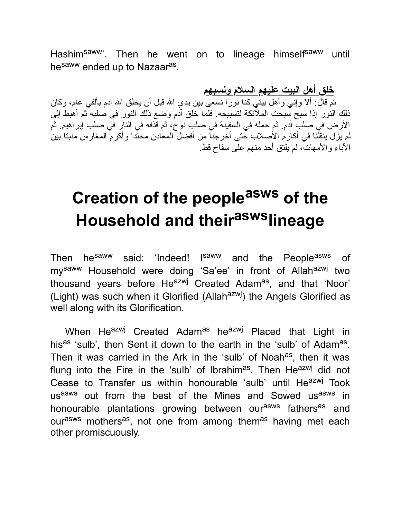Hashim<sup>saww</sup>'. Then he went on to lineage himself<sup>saww</sup> until he<sup>saww</sup> ended up to Nazaar<sup>as</sup>.

**خلق أهل البیت علیهم السلام ونسبهم** ثم قال: ألا وإني وأهل بیتي كنا نورا نسعى بین یدي االله قبل أن یخلق االله آدم بألفي عام، وكان ذلك النور إذا سبح سبحت الملائكة لتسبیحه. فلما خلق آدم وضع ذلك النور في صلبه ثم أهبط إلى الأرض في صلب آدم. ثم حمله في السفینة في صلب نوح، ثم قذفه في النار في صلب إبراهیم. ثم لم یزل ینقلنا في أكارم الأصلاب حتى أخرجنا من أفضل المعادن محتدا وأكرم المغارس منبتا بین الآباء والأمهات، لم یلتق أحد منهم على سفاح قط.

# **Creation of the people asws of the Household and their asws lineage**

Then he<sup>saww</sup> said: 'Indeed! I<sup>saww</sup> and the People<sup>asws</sup> of my<sup>saww</sup> Household were doing 'Sa'ee' in front of Allah<sup>azwj</sup> two thousand years before He<sup>azwj</sup> Created Adam<sup>as</sup>, and that 'Noor' (Light) was such when it Glorified (Allah $a$ <sup>zwj</sup>) the Angels Glorified as well along with its Glorification.

When He<sup>azwj</sup> Created Adam<sup>as</sup> he<sup>azwj</sup> Placed that Light in his<sup>as</sup> 'sulb', then Sent it down to the earth in the 'sulb' of Adam<sup>as</sup>. Then it was carried in the Ark in the 'sulb' of Noah<sup>as</sup>, then it was flung into the Fire in the 'sulb' of Ibrahim<sup>as</sup>. Then He<sup>azwj</sup> did not Cease to Transfer us within honourable 'sulb' until He<sup>azwj</sup> Took usasws out from the best of the Mines and Sowed usasws in honourable plantations growing between our<sup>asws</sup> fathers<sup>as</sup> and our<sup>asws</sup> mothers<sup>as</sup>, not one from among them<sup>as</sup> having met each other promiscuously.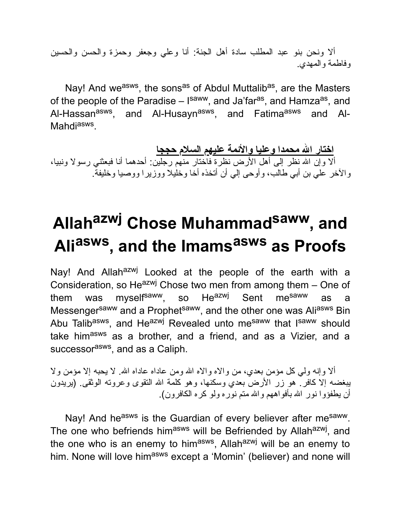ألا ونحن بنو عبد المطلب سادة أهل الجنة: أنا وعلي وجعفر وحمزة والحسن والحسین وفاطمة والمهدي.

Nay! And we<sup>asws</sup>, the sons<sup>as</sup> of Abdul Muttalib<sup>as</sup>, are the Masters of the people of the Paradise – I<sup>saww</sup>, and Ja'far<sup>as</sup>, and Hamza<sup>as</sup>, and Al-Hassan<sup>asws</sup>, and Al-Husayn<sup>asws</sup>, and Fatima<sup>asws</sup> and Al-Mahdi<sup>asws</sup>.

**اختار االله محمدا وعلیا والأئمة علیهم السلام حججا** ألا وإن االله نظر إلى أهل الأرض نظرة فاختار منهم رجلین: أحدهما أنا فبعثني رسولا ونبیا، والآخر علي بن أبي طالب، وأوحى إلي أن أتخذه أخا وخلیلا ووزیرا ووصیا وخلیفة.

# **Allah azwj Chose Muhammad saww , and Ali asws , and the Imams asws as Proofs**

Nay! And Allah<sup>azwj</sup> Looked at the people of the earth with a Consideration, so He $^{azwj}$  Chose two men from among them – One of them was myself<sup>saww</sup>, so He<sup>azwj</sup> Sent me<sup>saww</sup> as a Messenger<sup>saww</sup> and a Prophet<sup>saww</sup>, and the other one was Ali<sup>asws</sup> Bin Abu Talib<sup>asws</sup>, and He<sup>azwj</sup> Revealed unto me<sup>saww</sup> that I<sup>saww</sup> should take him<sup>asws</sup> as a brother, and a friend, and as a Vizier, and a successor<sup>asws</sup>, and as a Caliph.

ألا وإنه ولي كل مؤمن بعدي، من والاه والاه االله ومن عاداه عاداه االله. لا یحبه إلا مؤمن ولا یبغضه إلا كافر. هو زر الأرض بعدي وسكنها، وهو كلمة االله التقوى وعروته الوثقى. (یریدون أن یطفؤوا نور االله بأفواههم واالله متم نوره ولو كره الكافرون).

Nay! And he<sup>asws</sup> is the Guardian of every believer after me<sup>saww</sup>. The one who befriends him<sup>asws</sup> will be Befriended by Allah<sup>azwj</sup>, and the one who is an enemy to him<sup>asws</sup>, Allah<sup>azwj</sup> will be an enemy to him. None will love him<sup>asws</sup> except a 'Momin' (believer) and none will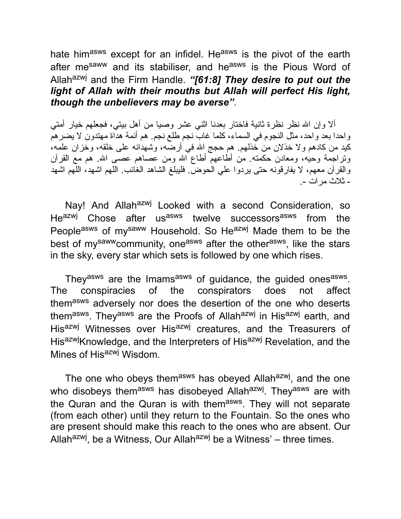hate himasws except for an infidel. Heasws is the pivot of the earth after me<sup>saww</sup> and its stabiliser, and he<sup>asws</sup> is the Pious Word of Allahazwj and the Firm Handle. *"[61:8] They desire to put out the light of Allah with their mouths but Allah will perfect His light, though the unbelievers may be averse"*.

ألا وإن االله نظر نظرة ثانیة فاختار بعدنا اثني عشر وصیا من أهل بیتي، فجعلهم خیار أمتي واحدا بعد واحد، مثل النجوم في السماء، كلما غاب نجم طلع نجم. هم أئمة هداة مهتدون لا یضرهم كید من كادهم ولا خذلان من خذلهم. هم حجج االله في أرضه، وشهدائه على خلقه، وخزان علمه، وتراجمة وحیه، ومعادن حكمته. من أطاعهم أطاع االله ومن عصاهم عصى االله. هم مع القرآن والقرآن معهم، لا یفارقونه حتى یردوا علي الحوض. فلیبلغ الشاهد الغائب. اللهم اشهد، اللهم اشهد - ثلاث مرات .-

Nay! And Allah<sup>azwj</sup> Looked with a second Consideration, so He<sup>azwj</sup> Chose after us<sup>asws</sup> twelve successors<sup>asws</sup> from the Peopleasws of mysaww Household. So Heazwj Made them to be the best of my<sup>saww</sup>community, one<sup>asws</sup> after the other<sup>asws</sup>, like the stars in the sky, every star which sets is followed by one which rises.

They<sup>asws</sup> are the Imams<sup>asws</sup> of guidance, the guided ones<sup>asws</sup>. The conspiracies of the conspirators does not affect themasws adversely nor does the desertion of the one who deserts them<sup>asws</sup>. They<sup>asws</sup> are the Proofs of Allah<sup>azwj</sup> in His<sup>azwj</sup> earth, and His<sup>azwj</sup> Witnesses over His<sup>azwj</sup> creatures, and the Treasurers of His<sup>azwj</sup>Knowledge, and the Interpreters of His<sup>azwj</sup> Revelation, and the Mines of His<sup>azwj</sup> Wisdom.

The one who obeys them<sup>asws</sup> has obeyed Allah<sup>azwj</sup>, and the one who disobeys them<sup>asws</sup> has disobeyed Allah<sup>azwj</sup>. They<sup>asws</sup> are with the Quran and the Quran is with them<sup>asws</sup>. They will not separate (from each other) until they return to the Fountain. So the ones who are present should make this reach to the ones who are absent. Our Allah<sup>azwj</sup>, be a Witness, Our Allah<sup>azwj</sup> be a Witness' – three times.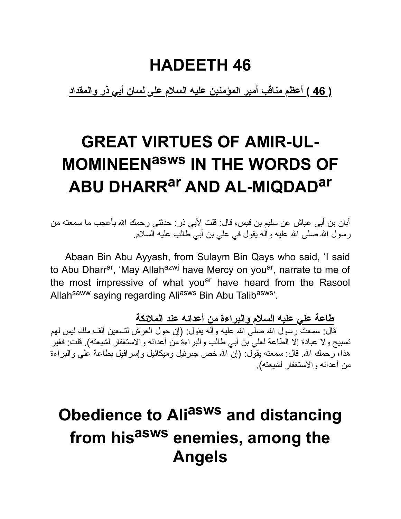#### **HADEETH 46**

**( 46 ) أعظم مناقب أمیر المؤمنین علیه السلام على لسان أبي ذر والمقداد**

# **GREAT VIRTUES OF AMIR-UL-MOMINEENasws IN THE WORDS OF ABU DHARRar AND AL-MIQDADar**

أبان بن أبي عیاش عن سلیم بن قیس، قال: قلت لأبي ذر: حدثني رحمك االله بأعجب ما سمعته من رسول االله صلى االله علیه وآله یقول في علي بن أبي طالب علیه السلام.

Abaan Bin Abu Ayyash, from Sulaym Bin Qays who said, 'I said to Abu Dharr<sup>ar</sup>, 'May Allah<sup>azwj</sup> have Mercy on you<sup>ar</sup>, narrate to me of the most impressive of what you<sup>ar</sup> have heard from the Rasool Allah<sup>saww</sup> saying regarding Aliasws Bin Abu Talibasws'.

**طاعة علي علیه السلام والبراءة من أعدائه عند الملائكة**

قال: سمعت رسول الله صلى الله علیه وآله یقول: (إن حول العرش لتسعین ألف ملك لیس لـهم تسبیح ولا عبادة إلا الطاعة لعلي بن أبي طالب والبراءة من أعدائه والاستغفار لشیعته). قلت: فغیر هذا، رحمك الله. قال: سمعته یقول: (إنّ الله خص جبرئیل ومیكائیل وإسرافیل بطاعة علي والبراءة من أعدائه والاستغفار لشیعته).

# **Obedience to Ali asws and distancing from his asws enemies, among the Angels**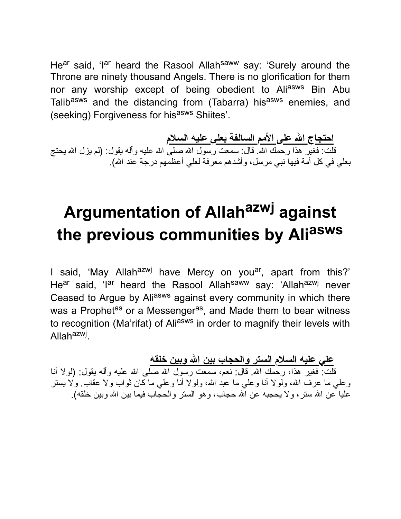He<sup>ar</sup> said, 'I<sup>ar</sup> heard the Rasool Allah<sup>saww</sup> say: 'Surely around the Throne are ninety thousand Angels. There is no glorification for them nor any worship except of being obedient to Aliasws Bin Abu Talibasws and the distancing from (Tabarra) his<sup>asws</sup> enemies, and (seeking) Forgiveness for hisasws Shiites'.

**احتجاج االله على الأمم السالفة بعلي علیه السلام** قلت: فغیر هذا رحمك الله. قال: سمعت رسول الله صلى الله علیه وآله یقول: (لم یزل الله یحتج بعلي في كل أمة فیها نبي مرسل، وأشدهم معرفة لعلي أعظمهم درجة عند االله).

# **Argumentation of Allah azwj against the previous communities by Ali asws**

I said, 'May Allah<sup>azwj</sup> have Mercy on you<sup>ar</sup>, apart from this?' He<sup>ar</sup> said, 'I<sup>ar</sup> heard the Rasool Allah<sup>saww</sup> say: 'Allah<sup>azwj</sup> never Ceased to Argue by Aliasws against every community in which there was a Prophet<sup>as</sup> or a Messenger<sup>as</sup>, and Made them to bear witness to recognition (Ma'rifat) of Aliasws in order to magnify their levels with Allah<sup>azwj</sup>.

**علي علیه السلام الستر والحجاب بین االله وبین خلقه** قلت: فغیر هذا، رحمك االله. قال: نعم، سمعت رسول االله صلى االله علیه وآله یقول: (لولا أنا وعلي ما عرف الله، ولولا أنا وعلي ما عبد الله، ولولا أنا وعلي ما كان ثواب ولا عقاب. ولا يستر عليا عن الله ستر ، ولا يحجبه عن الله حجاب، وهو الستر والحجاب فیما بین الله وبین خلقه).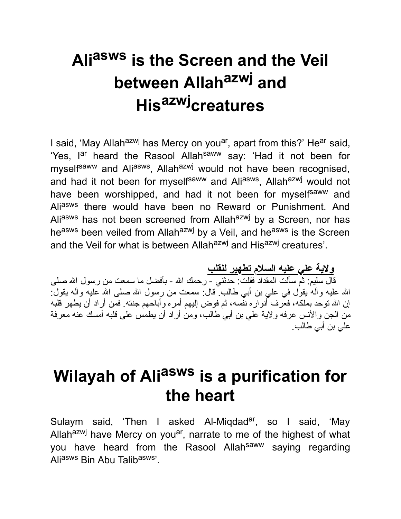# **Ali asws is the Screen and the Veil between Allah azwj and His azwjcreatures**

I said, 'May Allah<sup>azwj</sup> has Mercy on you<sup>ar</sup>, apart from this?' He<sup>ar</sup> said, 'Yes, l<sup>ar</sup> heard the Rasool Allah<sup>saww</sup> say: 'Had it not been for myself<sup>saww</sup> and Ali<sup>asws</sup>, Allah<sup>azwj</sup> would not have been recognised, and had it not been for myself<sup>saww</sup> and Ali<sup>asws</sup>, Allah<sup>azwj</sup> would not have been worshipped, and had it not been for myself<sup>saww</sup> and Aliasws there would have been no Reward or Punishment. And Aliasws has not been screened from Allahazwj by a Screen, nor has heasws been veiled from Allahazwj by a Veil, and heasws is the Screen and the Veil for what is between Allah<sup>azwj</sup> and His<sup>azwj</sup> creatures'.

**ولایة علي علیه السلام تطهیر للقلب**

قال سلیم: ثم سألت المقداد فقلت: حدثني - رحمك االله - بأفضل ما سمعت من رسول االله صلى االله علیه وآله یقول في علي بن أبي طالب. قال: سمعت من رسول االله صلى االله علیه وآله یقول: إن االله توحد بملكه، فعرف أنواره نفسه، ثم فوض إلیهم أمره وأباحهم جنته. فمن أراد أن یطهر قلبه من الجن والأنس عرفه ولایة علي بن أبي طالب، ومن أراد أن یطمس على قلبه أمسك عنه معرفة علي بن أبي طالب.

### **Wilayah of Ali asws is a purification for the heart**

Sulaym said, 'Then I asked Al-Miqdad<sup>ar</sup>, so I said, 'May Allah<sup>azwj</sup> have Mercy on you<sup>ar</sup>, narrate to me of the highest of what you have heard from the Rasool Allah<sup>saww</sup> saying regarding Aliasws Bin Abu Talibasws'.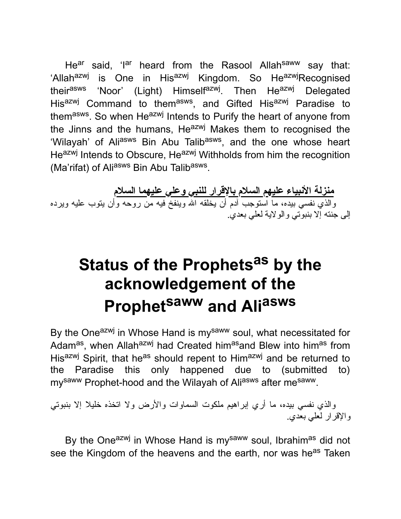He<sup>ar</sup> said, 'I<sup>ar</sup> heard from the Rasool Allah<sup>saww</sup> say that: 'Allah<sup>azwj</sup> is One in His<sup>azwj</sup> Kingdom. So He<sup>azwj</sup>Recognised their<sup>asws</sup> 'Noor' (Light) Himself<sup>azwj</sup>. Then He<sup>azwj</sup> Delegated His<sup>azwj</sup> Command to them<sup>asws</sup>, and Gifted His<sup>azwj</sup> Paradise to them<sup>asws</sup>. So when He<sup>azwj</sup> Intends to Purify the heart of anyone from the Jinns and the humans,  $He^{azwj}$  Makes them to recognised the 'Wilayah' of Ali<sup>asws</sup> Bin Abu Talib<sup>asws</sup>, and the one whose heart Heazwj Intends to Obscure, Heazwj Withholds from him the recognition (Ma'rifat) of Ali<sup>asws</sup> Bin Abu Talib<sup>asws</sup>.

**منزلة الأنبیاء علیهم السلام بالإقرار للنبي وعلي علیهما السلام** والذي نفسي بیده، ما استوجب آدم أن یخلقه االله وینفخ فیه من روحه وأن یتوب علیه ویرده إلى جنته إلا بنبوتي والولایة لعلي بعدي.

# **Status of the Prophets as by the acknowledgement of the Prophet saww and Ali asws**

By the One<sup>azwj</sup> in Whose Hand is my<sup>saww</sup> soul, what necessitated for Adam<sup>as</sup>, when Allah<sup>azwj</sup> had Created him<sup>as</sup>and Blew into him<sup>as</sup> from Hisazwj Spirit, that heas should repent to Himazwj and be returned to the Paradise this only happened due to (submitted to) my<sup>saww</sup> Prophet-hood and the Wilayah of Aliasws after mesaww.

والذي نفسي بیده، ما أري إبراهیم ملكوت السماوات والأرض ولا اتخذه خلیلا إلا بنبوتي والإقرار لعلي بعدي.

By the One<sup>azwj</sup> in Whose Hand is my<sup>saww</sup> soul, Ibrahim<sup>as</sup> did not see the Kingdom of the heavens and the earth, nor was he<sup>as</sup> Taken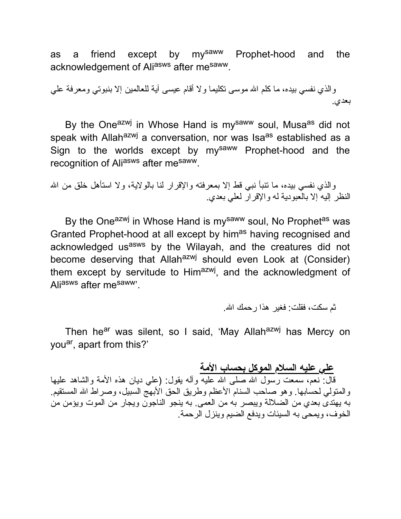as a friend except by mysaww Prophet-hood and the acknowledgement of Aliasws after mesaww.

والذي نفسي بیده، ما كلم االله موسى تكلیما ولا أقام عیسى آیة للعالمین إلا بنبوتي ومعرفة علي بعدي.

By the One<sup>azwj</sup> in Whose Hand is my<sup>saww</sup> soul, Musa<sup>as</sup> did not speak with Allah<sup>azwj</sup> a conversation, nor was Isa<sup>as</sup> established as a Sign to the worlds except by mysaww Prophet-hood and the recognition of Aliasws after mesaww.

والذي نفسي بیده، ما تنبأ نبي قط إلا بمعرفته والإقرار لنا بالولایة، ولا استأهل خلق من االله النظر إلیه إلا بالعبودیة له والإقرار لعلي بعدي.

By the One<sup>azwj</sup> in Whose Hand is my<sup>saww</sup> soul, No Prophet<sup>as</sup> was Granted Prophet-hood at all except by him<sup>as</sup> having recognised and acknowledged us<sup>asws</sup> by the Wilayah, and the creatures did not become deserving that Allah<sup>azwj</sup> should even Look at (Consider) them except by servitude to Him<sup>azwj</sup>, and the acknowledgment of Aliasws after mesaww'.

ثم سكت، فقلت: فغیر هذا رحمك االله.

Then he<sup>ar</sup> was silent, so I said, 'May Allah<sup>azwj</sup> has Mercy on you<sup>ar</sup>, apart from this?'

**علي علیه السلام الموكل بحساب الأمة**

قال: نعم، سمعت رسول الله صلى الله علیه وأله یقول: (علي دیان هذه الأمة والشاهد علیها والمتولي لحسابها. وهو صاحب السنام الأعظم وطریق الحق الأبهج السبیل، وصراط االله المستقیم. به یهتدى بعدي من الضلالة ویبصر به من العمى. به ینجو الناجون ویجار من الموت ویؤمن من الخوف، ویمحى به السیئات ویدفع الضیم وینزل الرحمة.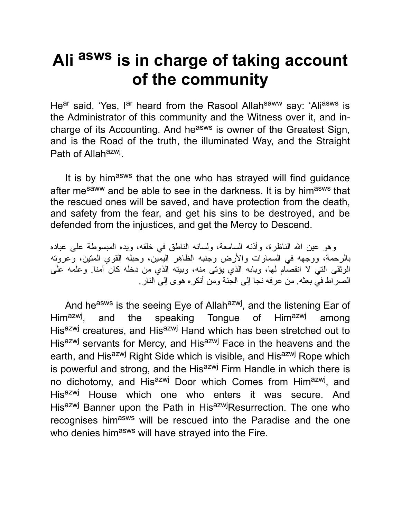## **Ali asws is in charge of taking account of the community**

He<sup>ar</sup> said, 'Yes, l<sup>ar</sup> heard from the Rasool Allah<sup>saww</sup> say: 'Ali<sup>asws</sup> is the Administrator of this community and the Witness over it, and incharge of its Accounting. And he<sup>asws</sup> is owner of the Greatest Sign, and is the Road of the truth, the illuminated Way, and the Straight Path of Allah<sup>azwj</sup>.

It is by himasws that the one who has strayed will find guidance after me<sup>saww</sup> and be able to see in the darkness. It is by him<sup>asws</sup> that the rescued ones will be saved, and have protection from the death, and safety from the fear, and get his sins to be destroyed, and be defended from the injustices, and get the Mercy to Descend.

وهو عین االله الناظرة، وأذنه السامعة، ولسانه الناطق في خلقه، ویده المبسوطة على عباده بالرحمة، ووجهه في السماوات والأرض وجنبه الظاهر الیمین، وحبله القوي المتین، وعروته الوثقى التي لا انفصام لها، وبابه الذي یؤتى منه، وبیته الذي من دخله كان آمنا. وعلمه على الصراط في بعثه. من عرفه نجا إلى الجنة ومن أنكره هوى إلى النار.

And he<sup>asws</sup> is the seeing Eye of Allah<sup>azwj</sup>, and the listening Ear of Him<sup>azwj</sup>. and the speaking Tongue of Himazwj among His<sup>azwj</sup> creatures, and His<sup>azwj</sup> Hand which has been stretched out to His<sup>azwj</sup> servants for Mercy, and His<sup>azwj</sup> Face in the heavens and the earth, and His<sup>azwj</sup> Right Side which is visible, and His<sup>azwj</sup> Rope which is powerful and strong, and the His<sup>azwj</sup> Firm Handle in which there is no dichotomy, and His<sup>azwj</sup> Door which Comes from Him<sup>azwj</sup>, and His<sup>azwj</sup> House which one who enters it was secure. And Hisazwj Banner upon the Path in HisazwjResurrection. The one who recognises himasws will be rescued into the Paradise and the one who denies himasws will have strayed into the Fire.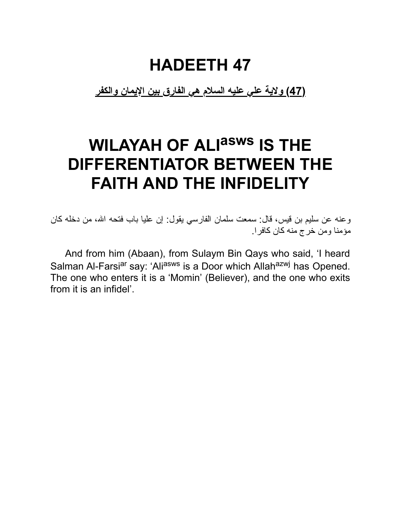#### **HADEETH 47**

**(47) ولایة علي علیه السلام هي الفارق بین الإیمان والكفر**

## **WILAYAH OF ALI asws IS THE DIFFERENTIATOR BETWEEN THE FAITH AND THE INFIDELITY**

وعنه عن سلیم بن قیس، قال: سمعت سلمان الفارسي یقول: إن علیا باب فتحه االله، من دخله كان مؤمنا ومن خرج منه كان كافرا.

And from him (Abaan), from Sulaym Bin Qays who said, 'I heard Salman Al-Farsi<sup>ar</sup> say: 'Ali<sup>asws</sup> is a Door which Allah<sup>azwj</sup> has Opened. The one who enters it is a 'Momin' (Believer), and the one who exits from it is an infidel'.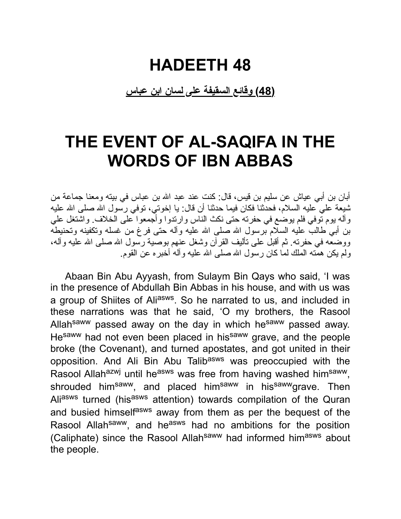#### **HADEETH 48**

**(48) وقائع السقیفة على لسان ابن عباس**

#### **THE EVENT OF AL-SAQIFA IN THE WORDS OF IBN ABBAS**

أبان بن أبي عیاش عن سلیم بن قیس، قال: كنت عند عبد االله بن عباس في بیته ومعنا جماعة من شیعة علي علیه السلام، فحدثنا فكان فیما حدثنا أن قال: یا إخوتي، توفي رسول االله صلى االله علیه وآله یوم توفي فلم یوضع في حفرته حتى نكث الناس وارتدوا وأجمعوا على الخلاف. واشتغل علي بن أبي طالب علیه السلام برسول االله صلى االله علیه وآله حتى فرغ من غسله وتكفینه وتحنیطه ووضعه في حفرته. ثم أقبل على تألیف القرآن وشغل عنهم بوصیة رسول االله صلى االله علیه وآله، ولم یكن همته الملك لما كان رسول االله صلى االله علیه وآله أخبره عن القوم.

Abaan Bin Abu Ayyash, from Sulaym Bin Qays who said, 'I was in the presence of Abdullah Bin Abbas in his house, and with us was a group of Shiites of Ali<sup>asws</sup>. So he narrated to us, and included in these narrations was that he said, 'O my brothers, the Rasool Allah<sup>saww</sup> passed away on the day in which he<sup>saww</sup> passed away. Hesaww had not even been placed in hissaww grave, and the people broke (the Covenant), and turned apostates, and got united in their opposition. And Ali Bin Abu Talibasws was preoccupied with the Rasool Allah<sup>azwj</sup> until he<sup>asws</sup> was free from having washed him<sup>saww</sup>, shrouded him<sup>saww</sup>, and placed him<sup>saww</sup> in his<sup>saww</sup>grave. Then Aliasws turned (hisasws attention) towards compilation of the Quran and busied himselfasws away from them as per the bequest of the Rasool Allah<sup>saww</sup>, and he<sup>asws</sup> had no ambitions for the position (Caliphate) since the Rasool Allah<sup>saww</sup> had informed him<sup>asws</sup> about the people.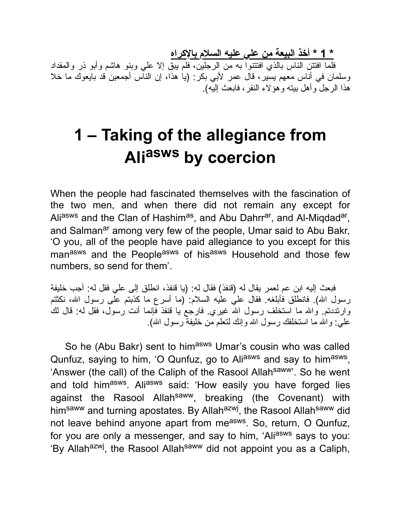**\* 1 \* أخذ البیعة من علي علیه السلام بالإكراه**

فلما افتتن الناس بالذي افتتنوا به من الرجلین، فلم یبق إلا علي وبنو هاشم وأبو ذر والمقداد وسلمان في أناس معهم یسیر، قال عمر لأبي بكر: (یا هذا، إن الناس أجمعین قد بایعوك ما خلا هذا الرجل وأهل بیته وهؤلاء النفر، فابعث إلیه).

## **1 – Taking of the allegiance from Ali asws by coercion**

When the people had fascinated themselves with the fascination of the two men, and when there did not remain any except for Ali<sup>asws</sup> and the Clan of Hashim<sup>as</sup>, and Abu Dahrr<sup>ar</sup>, and Al-Miqdad<sup>ar</sup>, and Salman<sup>ar</sup> among very few of the people, Umar said to Abu Bakr, 'O you, all of the people have paid allegiance to you except for this man<sup>asws</sup> and the People<sup>asws</sup> of his<sup>asws</sup> Household and those few numbers, so send for them'.

فبعث إلیه ابن عم لعمر یقال له (قنفذ) فقال له: (یا قنفذ، انطلق إلى علي فقل له: أجب خلیفة رسول الله). فانطلق فأبلغه فقال علي علیه السلام: (ما أسرع ما كذبتم على رسول الله، نكثتم وارتددتم. والله ما استخلف رسول الله غیري. فارجع یا قنفذ فإنما أنت رسول، فقل له: قال لك علمي: والله ما استخلفك رسول الله وإنك لتعلم من خليفة رسول الله).

So he (Abu Bakr) sent to him<sup>asws</sup> Umar's cousin who was called Qunfuz, saying to him, 'O Qunfuz, go to Ali<sup>asws</sup> and say to him<sup>asws</sup>, 'Answer (the call) of the Caliph of the Rasool Allah<sup>saww</sup>'. So he went and told him<sup>asws</sup>. Ali<sup>asws</sup> said: 'How easily you have forged lies against the Rasool Allah<sup>saww</sup>, breaking (the Covenant) with him<sup>saww</sup> and turning apostates. By Allah<sup>azwj</sup>, the Rasool Allah<sup>saww</sup> did not leave behind anyone apart from me<sup>asws</sup>. So, return, O Qunfuz, for you are only a messenger, and say to him, 'Aliasws says to you: 'By Allah<sup>azwj</sup>, the Rasool Allah<sup>saww</sup> did not appoint you as a Caliph,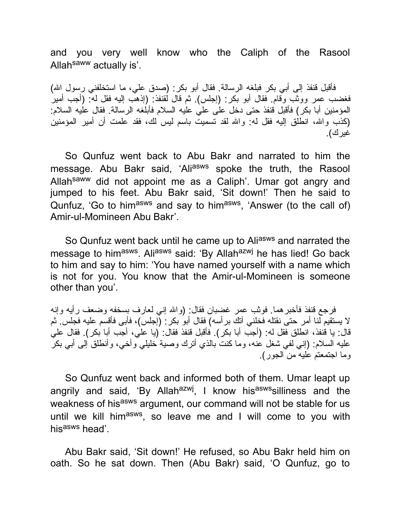and you very well know who the Caliph of the Rasool Allah<sup>saww</sup> actually is'.

فأقبل قنفذ إلى أبي بكر فبلغه الرسالة. فقال أبو بكر: (صدق علي، ما استخلفني رسول االله) فغضب عمر ووثب وقام. فقال أبو بكر: (إجلس). ثم قال لقنفذ: (إذهب إلیه فقل له: (أجب أمیر المؤمنین أبا بكر) فأقبل قنفذ حتى دخل على علي علیه السلام فأبلغه الرسالة. فقال علیه السلام: (كذب واالله، انطلق إلیه فقل له: واالله لقد تسمیت باسم لیس لك، فقد علمت أن أمیر المؤمنین غیرك).

So Qunfuz went back to Abu Bakr and narrated to him the message. Abu Bakr said, 'Aliasws spoke the truth, the Rasool Allah<sup>saww</sup> did not appoint me as a Caliph'. Umar got angry and jumped to his feet. Abu Bakr said, 'Sit down!' Then he said to Qunfuz, 'Go to him<sup>asws</sup> and say to him<sup>asws</sup>, 'Answer (to the call of) Amir-ul-Momineen Abu Bakr'.

So Qunfuz went back until he came up to Aliasws and narrated the message to him<sup>asws</sup>. Ali<sup>asws</sup> said: 'By Allah<sup>azwj</sup> he has lied! Go back to him and say to him: 'You have named yourself with a name which is not for you. You know that the Amir-ul-Momineen is someone other than you'.

فرجع قنفذ فأخبرهما. فوثب عمر غضبان فقال: (واالله إني لعارف بسخفه وضعف رأیه وإنه لا یستقیم لنا أمر حتى نقتله فخلني آتك برأسه) فقال أبو بكر: (إجلس)، فأبى فأقسم علیه فجلس. ثم قال: یا قنفذ، انطلق فقل له: (أجب أبا بكر). فأقبل قنفذ فقال: (یا علي، أجب أبا بكر). فقال علي علیه السلام: (إني لفي شغل عنه، وما كنت بالذي أترك وصیة خلیلي وأخي، وأنطلق إلى أبي بكر وما اجتمعتم علیه من الجور).

So Qunfuz went back and informed both of them. Umar leapt up angrily and said, 'By Allah<sup>azwj</sup>, I know his<sup>asws</sup>silliness and the weakness of hisasws argument, our command will not be stable for us until we kill him<sup>asws</sup>, so leave me and I will come to you with his<sup>asws</sup> head'.

Abu Bakr said, 'Sit down!' He refused, so Abu Bakr held him on oath. So he sat down. Then (Abu Bakr) said, 'O Qunfuz, go to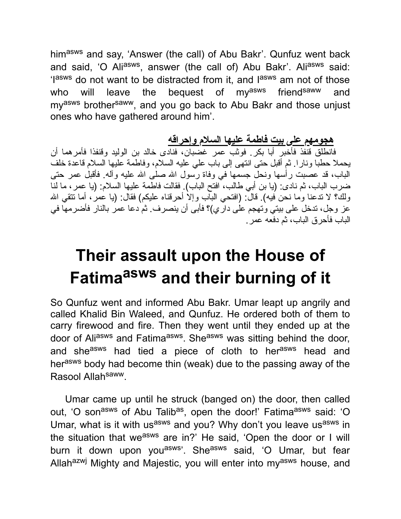himasws and say, 'Answer (the call) of Abu Bakr'. Qunfuz went back and said, 'O Ali<sup>asws</sup>, answer (the call of) Abu Bakr'. Ali<sup>asws</sup> said: 'lasws do not want to be distracted from it, and lasws am not of those who will leave the bequest of my<sup>asws</sup> friend<sup>saww</sup> and my<sup>asws</sup> brother<sup>saww</sup>, and you go back to Abu Bakr and those unjust ones who have gathered around him'.

**هجومهم على بیت فاطمة علیها السلام وإحراقه**

فانطلق قنفذ فأخبر أبا بكر. فوثب عمر غضبان، فنادى خالد بن الولید وقنفذا فأمرهما أن یحملا حطبا ونارا. ثم أقبل حتى انتهى إلى باب علي علیه السلام، وفاطمة علیها السلام قاعدة خلف الباب، قد عصبت رأسها ونحل جسمها في وفاة رسول االله صلى االله علیه وآله. فأقبل عمر حتى ضرب الباب، ثم نادى: (یا بن أبي طالب، افتح الباب). فقالت فاطمة علیها السلام: (یا عمر، ما لنا ولك؟ لا تدعنا وما نحن فیه). قال: (افتحي الباب وإلا أحرقناه علیكم) فقال: (یا عمر، أما تتقي االله عز وجل، تدخل على بیتي وتهجم على داري)؟ فأبى أن ینصرف. ثم دعا عمر بالنار فأضرمها في الباب فأحرق الباب، ثم دفعه عمر.

## **Their assault upon the House of Fatima asws and their burning of it**

So Qunfuz went and informed Abu Bakr. Umar leapt up angrily and called Khalid Bin Waleed, and Qunfuz. He ordered both of them to carry firewood and fire. Then they went until they ended up at the door of Ali<sup>asws</sup> and Fatima<sup>asws</sup>. She<sup>asws</sup> was sitting behind the door, and she<sup>asws</sup> had tied a piece of cloth to her<sup>asws</sup> head and herasws body had become thin (weak) due to the passing away of the Rasool Allahsaww.

Umar came up until he struck (banged on) the door, then called out, 'O son<sup>asws</sup> of Abu Talib<sup>as</sup>, open the door!' Fatima<sup>asws</sup> said: 'O Umar, what is it with us<sup>asws</sup> and you? Why don't you leave us<sup>asws</sup> in the situation that we<sup>asws</sup> are in?' He said, 'Open the door or I will burn it down upon you<sup>asws</sup>'. She<sup>asws</sup> said, 'O Umar, but fear Allah<sup>azwj</sup> Mighty and Majestic, you will enter into my<sup>asws</sup> house, and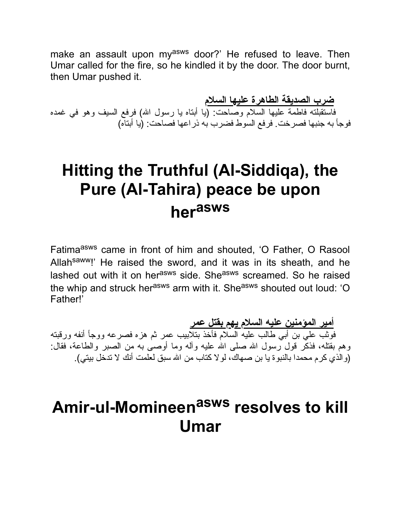make an assault upon my<sup>asws</sup> door?' He refused to leave. Then Umar called for the fire, so he kindled it by the door. The door burnt, then Umar pushed it.

**ضرب الصدیقة الطاهرة علیها السلام** فاستقبلته فاطمة علیها السلام وصاحت: (یا أبتاه یا رسول االله) فرفع السیف وهو في غمده فوجأ به جنبها فصرخت. فرفع السوط فضرب به ذراعها فصاحت: (یا أبتاه)

#### **Hitting the Truthful (Al-Siddiqa), the Pure (Al-Tahira) peace be upon her asws**

Fatimaasws came in front of him and shouted, 'O Father, O Rasool Allah<sup>saww</sup>!' He raised the sword, and it was in its sheath, and he lashed out with it on herasws side. Sheasws screamed. So he raised the whip and struck herasws arm with it. She<sup>asws</sup> shouted out loud: 'O Father!'

**أمیر المؤمنین علیه السلام یهم بقتل عمر** فوثب علي بن أبي طالب علیه السلام فأخذ بتلابیب عمر ثم هزه فصرعه ووجأ أنفه ورقبته وهم بقتله، فذكَّر قول رسول الله صلى الله عليه وأله وما أوصى به من الصبر والطاعة، فقال: (والذي كرم محمدا بالنبوة یا بن صهاك، لولا كتاب من االله سبق لعلمت أنك لا تدخل بیتي).

#### **Amir-ul-Momineen asws resolves to kill Umar**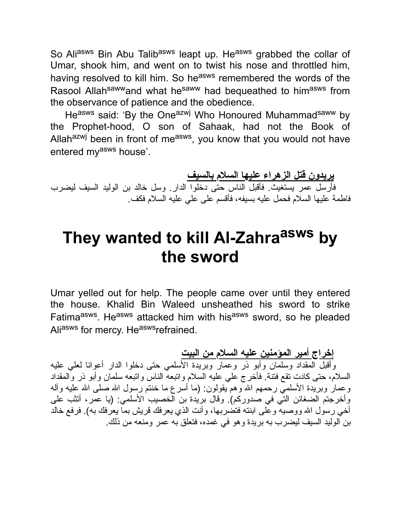So Aliasws Bin Abu Talibasws leapt up. Heasws grabbed the collar of Umar, shook him, and went on to twist his nose and throttled him, having resolved to kill him. So he<sup>asws</sup> remembered the words of the Rasool Allah<sup>saww</sup>and what he<sup>saww</sup> had bequeathed to him<sup>asws</sup> from the observance of patience and the obedience.

Heasws said: 'By the Oneazwj Who Honoured Muhammad<sup>saww</sup> by the Prophet-hood, O son of Sahaak, had not the Book of Allah<sup>azwj</sup> been in front of me<sup>asws</sup>, you know that you would not have entered my<sup>asws</sup> house'.

**یریدون قتل الزهراء علیها السلام بالسیف** فأرسل عمر یستغیث. فأقبل الناس حتى دخلوا الدار. وسل خالد بن الولید السیف لیضرب فاطمة علیها السلام فحمل علیه بسیفه، فأقسم على علي علیه السلام فكف.

#### **They wanted to kill Al-Zahra asws by the sword**

Umar yelled out for help. The people came over until they entered the house. Khalid Bin Waleed unsheathed his sword to strike Fatima<sup>asws</sup>. He<sup>asws</sup> attacked him with his<sup>asws</sup> sword, so he pleaded Aliasws for mercy. Heaswsrefrained.

**إخراج أمیر المؤمنین علیه السلام من البیت** وأقبل المقداد وسلمان وأبو ذر وعمار وبریدة الأسلمي حتى دخلوا الدار أعوانا لعلي علیه السلام، حتى كادت تقع فتنة. فأخرج علي علیه السلام واتبعه الناس واتبعه سلمان وأبو ذر والمقداد وعمار وبریدة الأسلمـّي رحمهم الله وهم یقولون: (ما أسرع ما خنتم رسول الله صلـّي الله علیه وآلـه وأخرجتم الضغائن التي في صدوركم). وقال بریدة بن الخصیب الأسلمي: (یا عمر، أتثب على أخي رسول الله ووصیه وعلى ابنته فتضربها، وأنت الذي یعرفك قریش بما یعرفك به). فرفع خالد بن الولید السیف لیضرب به بریدة وهو في غمده، فتعلق به عمر ومنعه من ذلك.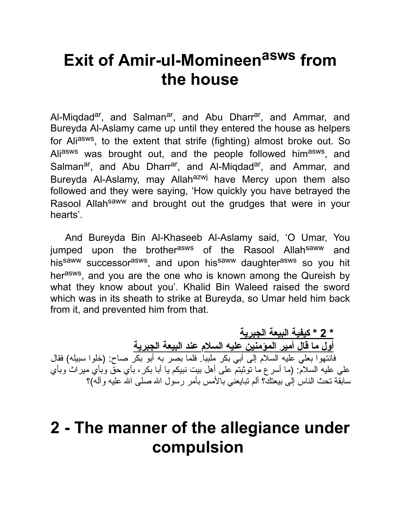## **Exit of Amir-ul-Momineen asws from the house**

Al-Miqdad<sup>ar</sup>, and Salman<sup>ar</sup>, and Abu Dharr<sup>ar</sup>, and Ammar, and Bureyda Al-Aslamy came up until they entered the house as helpers for Ali<sup>asws</sup>, to the extent that strife (fighting) almost broke out. So Ali<sup>asws</sup> was brought out, and the people followed him<sup>asws</sup>, and Salman<sup>ar</sup>, and Abu Dharr<sup>ar</sup>, and Al-Miqdad<sup>ar</sup>, and Ammar, and Bureyda Al-Aslamy, may Allah<sup>azwj</sup> have Mercy upon them also followed and they were saying, 'How quickly you have betrayed the Rasool Allah<sup>saww</sup> and brought out the grudges that were in your hearts'.

And Bureyda Bin Al-Khaseeb Al-Aslamy said, 'O Umar, You jumped upon the brother<sup>asws</sup> of the Rasool Allah<sup>saww</sup> and his<sup>saww</sup> successor<sup>asws</sup>, and upon his<sup>saww</sup> daughter<sup>asws</sup> so you hit her<sup>asws</sup>, and you are the one who is known among the Qureish by what they know about you'. Khalid Bin Waleed raised the sword which was in its sheath to strike at Bureyda, so Umar held him back from it, and prevented him from that.

**\* 2 \* كیفیة البیعة الجبریة أول ما قال أمیر المؤمنین علیه السلام عند البیعة الجبریة** فانتهوا بعلي علیه السلام إلى أبي بكر ملببا. فلما بصر به أبو بكر صاح: (خلوا سبیله) فقال علي علیه السلام: (ما أسرع ما توثبتم على أهل بیت نبیكم یا أبا بكر، بأي حق وبأي میراث وبأي سابقة تحث الناس إلى بیعتك؟ ألم نبایعنی بالأمس بأمر رسول الله صلى الله علیه وآله)؟

#### **2 - The manner of the allegiance under compulsion**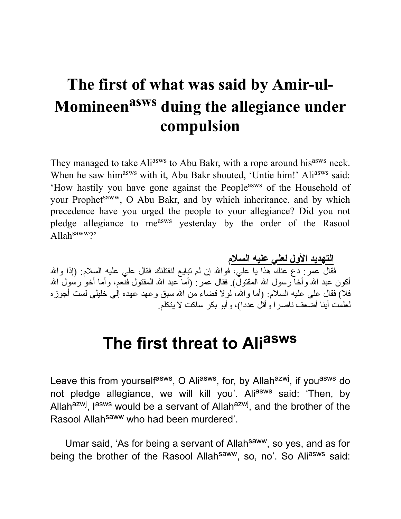#### **The first of what was said by Amir-ul-Momineen asws duing the allegiance under compulsion**

They managed to take Ali<sup>asws</sup> to Abu Bakr, with a rope around his<sup>asws</sup> neck. When he saw him<sup>asws</sup> with it, Abu Bakr shouted, 'Untie him!' Ali<sup>asws</sup> said: 'How hastily you have gone against the Peopleasws of the Household of your Prophet<sup>saww</sup>, O Abu Bakr, and by which inheritance, and by which precedence have you urged the people to your allegiance? Did you not pledge allegiance to measws yesterday by the order of the Rasool Allahsaww?'

**التهدید الأول لعلي علیه السلام** فقال عمر : دع عنك هذا يا علي، فوالله إن لم تبايع لنقتلنك فقال علي عليه السلام: (إذا والله أكون عبد الله وأخا رسول الله المقتول). فقال عمر : (أما عبد الله المقتول فنعم، وأما أخو رسُول الله فلا) فقال علي علیه السلام: (أما واالله، لولا قضاء من االله سبق وعهد عهده إلي خلیلي لست أجوزه لعلمت أینا أضعف ناصرا وأقل عددا)، وأبو بكر ساكت لا یتكلم.

## **The first threat to Ali asws**

Leave this from yourself<sup>asws</sup>, O Ali<sup>asws</sup>, for, by Allah<sup>azwj</sup>, if you<sup>asws</sup> do not pledge allegiance, we will kill you'. Aliasws said: 'Then, by Allah<sup>azwj</sup>, l<sup>asws</sup> would be a servant of Allah<sup>azwj</sup>, and the brother of the Rasool Allah<sup>saww</sup> who had been murdered'.

Umar said, 'As for being a servant of Allah<sup>saww</sup>, so yes, and as for being the brother of the Rasool Allahsaww, so, no'. So Aliasws said: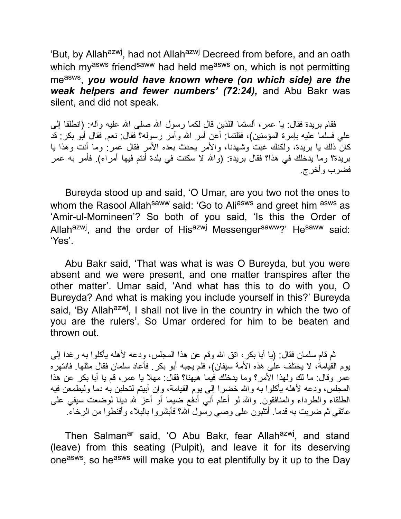'But, by Allah<sup>azwj</sup>, had not Allah<sup>azwj</sup> Decreed from before, and an oath which myasws friendsaww had held measws on, which is not permitting measws , *you would have known where (on which side) are the weak helpers and fewer numbers' (72:24),* and Abu Bakr was silent, and did not speak.

فقام بریدة فقال: یا عمر، ألستما اللذین قال لكما رسول الله صلى الله علیه وآله: (انطلقا إلى علي فسلما علیه بإمرة المؤمنین)، فقلتما: أعن أمر االله وأمر رسوله؟ فقال: نعم. فقال أبو بكر: قد كان ذلك یا بریدة، ولكنك غبت وشهدنا، والأمر یحدث بعده الأمر فقال عمر: وما أنت وهذا یا بریدة؟ وما یدخلك في هذا؟ فقال بریدة: (واالله لا سكنت في بلدة أنتم فیها أمراء). فأمر به عمر فضرب وأخرج.

Bureyda stood up and said, 'O Umar, are you two not the ones to whom the Rasool Allah<sup>saww</sup> said: 'Go to Ali<sup>asws</sup> and greet him asws as 'Amir-ul-Momineen'? So both of you said, 'Is this the Order of Allah<sup>azwj</sup>, and the order of His<sup>azwj</sup> Messenger<sup>saww</sup>?' He<sup>saww</sup> said: 'Yes'.

Abu Bakr said, 'That was what is was O Bureyda, but you were absent and we were present, and one matter transpires after the other matter'. Umar said, 'And what has this to do with you, O Bureyda? And what is making you include yourself in this?' Bureyda said, 'By Allah<sup>azwj</sup>, I shall not live in the country in which the two of you are the rulers'. So Umar ordered for him to be beaten and thrown out.

ثم قام سلمان فقال: (یا أبا بكر، اتق االله وقم عن هذا المجلس، ودعه لأهله یأكلوا به رغدا إلى یوم القیامة، لا یختلف على هذه الأمة سیفان)، فلم یجبه أبو بكر. فأعاد سلمان فقال مثلها. فانتهره عمر وقال: ما لك ولهذا الأمر؟ وما یدخلك فیما هیهنا؟ فقال: مهلا یا عمر، قم یا أبا بكر عن هذا المجلس، ودعه لأهله یأكلوا به والله خضرا إلى یوم القیامة، وإن أبیتم لتحلبن به دما ولیطمعن فیه الطلقاء والطرداء والمنافقون. واالله لو أعلم أني أدفع ضیما أو أعز الله دینا لوضعت سیفي على عاتقي ثم ضربت به قدما. أتثبون على وصي رسول االله؟ فأبشروا بالبلاء وأقنطوا من الرخاء.

Then Salman<sup>ar</sup> said, 'O Abu Bakr, fear Allah<sup>azwj</sup>, and stand (leave) from this seating (Pulpit), and leave it for its deserving one<sup>asws</sup>, so he<sup>asws</sup> will make you to eat plentifully by it up to the Day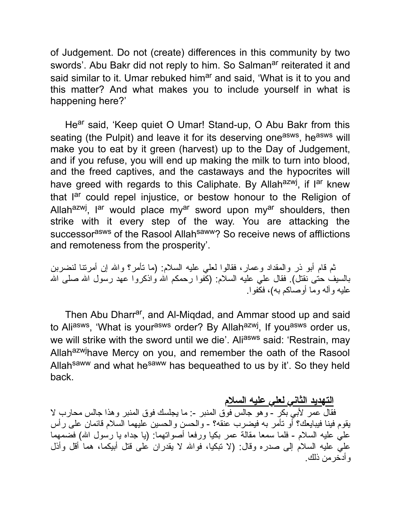of Judgement. Do not (create) differences in this community by two swords'. Abu Bakr did not reply to him. So Salman<sup>ar</sup> reiterated it and said similar to it. Umar rebuked him<sup>ar</sup> and said, 'What is it to you and this matter? And what makes you to include yourself in what is happening here?'

He<sup>ar</sup> said, 'Keep quiet O Umar! Stand-up, O Abu Bakr from this seating (the Pulpit) and leave it for its deserving one<sup>asws</sup>, he<sup>asws</sup> will make you to eat by it green (harvest) up to the Day of Judgement, and if you refuse, you will end up making the milk to turn into blood, and the freed captives, and the castaways and the hypocrites will have greed with regards to this Caliphate. By Allah<sup>azwj</sup>, if l<sup>ar</sup> knew that l<sup>ar</sup> could repel injustice, or bestow honour to the Religion of Allah<sup>azwj</sup>, l<sup>ar</sup> would place my<sup>ar</sup> sword upon my<sup>ar</sup> shoulders, then strike with it every step of the way. You are attacking the successor<sup>asws</sup> of the Rasool Allah<sup>saww</sup>? So receive news of afflictions and remoteness from the prosperity'.

ثم قام أبو ذر والمقداد وعمار، فقالوا لعلي علیه السلام: (ما تأمر؟ واالله إن أمرتنا لنضربن بالسیف حتى نقتل). فقال علي علیه السلام: (كفوا رحمكم االله واذكروا عهد رسول االله صلى االله علیه وآله وما أوصاكم به)، فكفوا.

Then Abu Dharr<sup>ar</sup>, and Al-Miqdad, and Ammar stood up and said to Ali<sup>asws</sup>, 'What is your<sup>asws</sup> order? By Allah<sup>azwj</sup>, If you<sup>asws</sup> order us, we will strike with the sword until we die'. Aliasws said: 'Restrain, may Allahazwjhave Mercy on you, and remember the oath of the Rasool Allah<sup>saww</sup> and what he<sup>saww</sup> has bequeathed to us by it'. So they held back.

**التهدید الثاني لعلي علیه السلام**

فقال عمر لأبي بكر - وهو جالس فوق المنبر :- ما یجلسك فوق المنبر وهذا جالس محارب لا یقوم فینا فیبایعك؟ أو تأمر به فیضرب عنقه؟ - والحسن والحسین علیهما السلام قائمان على رأس علي علیه السلام - فلما سمعا مقالة عمر بكیا ورفعا أصواتهما: (یا جداه یا رسول االله) فضمهما علي علیه السلام إلى صدره وقال: (لا تبكیا، فواالله لا یقدران على قتل أبیكما، هما أقل وأذل وأدخرمن ذلك.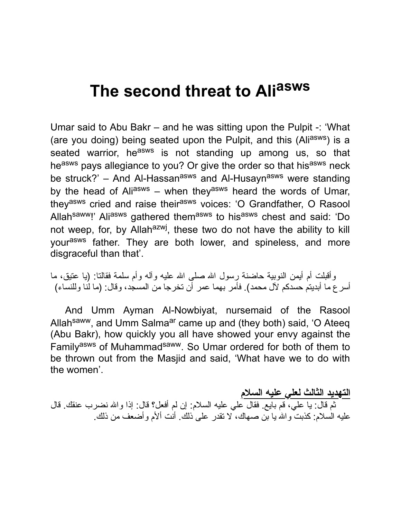## **The second threat to Ali asws**

Umar said to Abu Bakr – and he was sitting upon the Pulpit -: 'What (are you doing) being seated upon the Pulpit, and this (Ali<sup>asws</sup>) is a seated warrior, he<sup>asws</sup> is not standing up among us, so that heasws pays allegiance to you? Or give the order so that hisasws neck be struck?' – And Al-Hassan<sup>asws</sup> and Al-Husayn<sup>asws</sup> were standing by the head of Aliasws – when they<sup>asws</sup> heard the words of Umar, they<sup>asws</sup> cried and raise their<sup>asws</sup> voices: 'O Grandfather, O Rasool Allah<sup>saww</sup>!' Ali<sup>asws</sup> gathered them<sup>asws</sup> to his<sup>asws</sup> chest and said: 'Do not weep, for, by Allah<sup>azwj</sup>, these two do not have the ability to kill yourasws father. They are both lower, and spineless, and more disgraceful than that'.

وأقبلت أم أيمن النوبية حاضنة رسول الله صلى الله علیه وأله وأم سلمة فقالتا: (یا عتیق، ما أسرع ما أبدیتم حسدكم لآل محمد). فأمر بهما عمر أن تخرجا من المسجد، وقال: (ما لنا وللنساء)

And Umm Ayman Al-Nowbiyat, nursemaid of the Rasool Allah<sup>saww</sup>, and Umm Salma<sup>ar</sup> came up and (they both) said, 'O Ateeq (Abu Bakr), how quickly you all have showed your envy against the Familyasws of Muhammadsaww. So Umar ordered for both of them to be thrown out from the Masjid and said, 'What have we to do with the women'.

**التهدید الثالث لعلي علیه السلام** ثم قال: یا علي، قم بایع. فقال علي علیه السلام: إن لم أفعل؟ قال: إذا واالله نضرب عنقك. قال علیه السلام: كذبت واالله یا بن صهاك، لا تقدر على ذلك. أنت ألأم وأضعف من ذلك.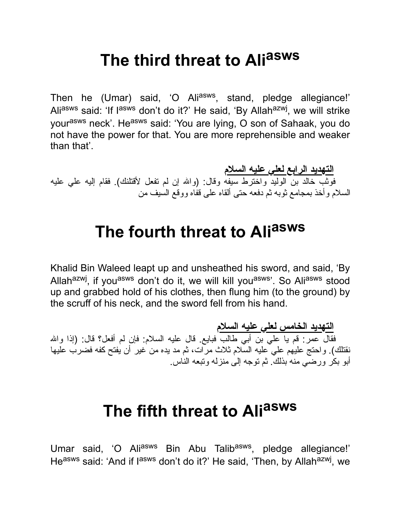## **The third threat to Ali asws**

Then he (Umar) said, 'O Ali<sup>asws</sup>, stand, pledge allegiance!' Ali<sup>asws</sup> said: 'If l<sup>asws</sup> don't do it?' He said, 'By Allah<sup>azwj</sup>, we will strike yourasws neck'. Heasws said: 'You are lying, O son of Sahaak, you do not have the power for that. You are more reprehensible and weaker than that'.

**التهدید الرابع لعلي علیه السلام** فوثب خالد بن الولید واخترط سیفه وقال: (واالله إن لم تفعل لأقتلنك). فقام إلیه علي علیه السلام وأخذ بمجامع ثوبه ثم دفعه حتى ألقاه على قفاه ووقع السیف من

## **The fourth threat to Ali asws**

Khalid Bin Waleed leapt up and unsheathed his sword, and said, 'By Allah<sup>azwj</sup>, if you<sup>asws</sup> don't do it, we will kill you<sup>asws</sup>'. So Ali<sup>asws</sup> stood up and grabbed hold of his clothes, then flung him (to the ground) by the scruff of his neck, and the sword fell from his hand.

**التهدید الخامس لعلي علیه السلام** فقال عمر: قم يا علي بن أبي طالب فبايع. قال عليه السلام: فإن لم أفعل؟ قال: (إذا والله نقتلك). واحتج علیهم علي علیه السلام ثلاث مرات، ثم مد یده من غیر أن یفتح كفه فضرب علیها أبو بكر ورضي منه بذلك. ثم توجه إلى منزله وتبعه الناس.

## **The fifth threat to Ali asws**

Umar said, 'O Ali<sup>asws</sup> Bin Abu Talib<sup>asws</sup>, pledge allegiance!' He<sup>asws</sup> said: 'And if l<sup>asws</sup> don't do it?' He said, 'Then, by Allah<sup>azwj</sup>, we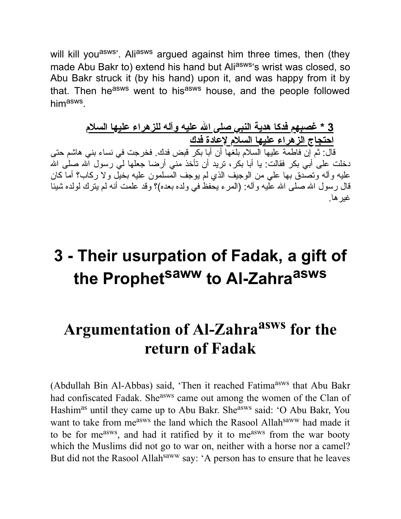will kill you<sup>asws</sup>'. Ali<sup>asws</sup> argued against him three times, then (they made Abu Bakr to) extend his hand but Aliasws's wrist was closed, so Abu Bakr struck it (by his hand) upon it, and was happy from it by that. Then he<sup>asws</sup> went to his<sup>asws</sup> house, and the people followed him<sup>asws</sup>.

#### **3 \* غصبهم فدكا هدیة النبي صلى االله علیه وآله للزهراء علیها السلام احتجاج الزهراء علیها السلام لإعادة فدك**

قال: ثم إن فاطمة علیها السلام بلغها أن أبا بكر قبض فدك. فخرجت في نساء بني هاشم حتى دخلت على أبي بكر فقالت: یا أبا بكر ، ترید أن تأخذ مني أرضا جعلها لي رسول الله صلى الله علیه وآله وتصدق بها علي من الوجیف الذي لم یوجف المسلمون علیه بخیل ولا ركاب؟ أما كان قال رسول الله صلى الله علیه وآله: (المرء یحفظ في ولده بعده)؟ وقد علمت أنه لم یترك لولده شیئا غیرها.

### **3 - Their usurpation of Fadak, a gift of the Prophet saww to Al-Zahra asws**

## **Argumentation of Al-Zahra asws for the return of Fadak**

(Abdullah Bin Al-Abbas) said, 'Then it reached Fatima<sup>asws</sup> that Abu Bakr had confiscated Fadak. She<sup>asws</sup> came out among the women of the Clan of Hashim<sup>as</sup> until they came up to Abu Bakr. She<sup>asws</sup> said: 'O Abu Bakr, You want to take from me<sup>asws</sup> the land which the Rasool Allah<sup>saww</sup> had made it to be for me<sup>asws</sup>, and had it ratified by it to me<sup>asws</sup> from the war booty which the Muslims did not go to war on, neither with a horse nor a camel? But did not the Rasool Allah<sup>saww</sup> say: 'A person has to ensure that he leaves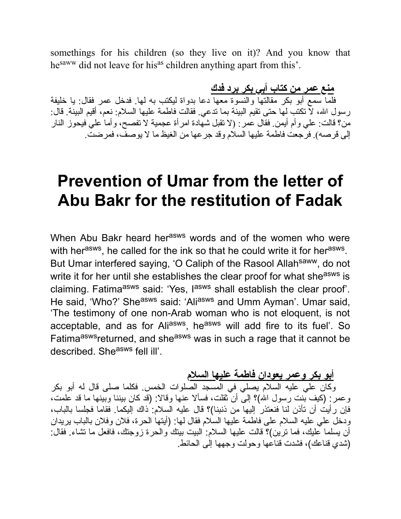somethings for his children (so they live on it)? And you know that he<sup>saww</sup> did not leave for his<sup>as</sup> children anything apart from this'.

**منع عمر من كتاب أبي بكر برد فدك** فلما سمع أبو بكر مقالتها والنسوة معها دعا بدواة لیكتب به لها. فدخل عمر فقال: یا خلیفة رسول االله، لا تكتب لها حتى تقیم البینة بما تدعي. فقالت فاطمة علیها السلام: نعم، أقیم البینة. قال: من؟ قالت: علي وأم أیمن. فقال عمر: (لا تقبل شهادة امرأة عجمیة لا تفصح، وأما علي فیحوز النار إلى قرصه). فرجعت فاطمة علیها السلام وقد جرعها من الغیظ ما لا یوصف، فمرضت.

#### **Prevention of Umar from the letter of Abu Bakr for the restitution of Fadak**

When Abu Bakr heard her<sup>asws</sup> words and of the women who were with her<sup>asws</sup>, he called for the ink so that he could write it for her<sup>asws</sup>. But Umar interfered saying, 'O Caliph of the Rasool Allah<sup>saww</sup>, do not write it for her until she establishes the clear proof for what she<sup>asws</sup> is claiming. Fatima<sup>asws</sup> said: 'Yes, l<sup>asws</sup> shall establish the clear proof'. He said, 'Who?' She<sup>asws</sup> said: 'Ali<sup>asws</sup> and Umm Ayman'. Umar said, 'The testimony of one non-Arab woman who is not eloquent, is not acceptable, and as for Ali<sup>asws</sup>, he<sup>asws</sup> will add fire to its fuel'. So Fatima<sup>asws</sup>returned, and she<sup>asws</sup> was in such a rage that it cannot be described. She<sup>asws</sup> fell ill'.

#### **أبو بكر وعمر یعودان فاطمة علیها السلام**

وكان علي علیه السلام یصلي في المسجد الصلوات الخمس. فكلما صلى قال له أبو بكر وعمر: (كیف بنت رسول االله)؟ إلى أن ثقلت، فسألا عنها وقالا: (قد كان بیننا وبینها ما قد علمت، فإن رأیت أن تأذن لنا فنعتذر إلیها من ذنبنا)؟ قال علیه السلام: ذاك إلیكما. فقاما فجلسا بالباب، ودخل علي علیه السلام على فاطمة علیها السلام فقال لها: (أیتها الحرة، فلان وفلان بالباب یریدان أن یسلما علیك، فما ترین)؟ قالت علیها السلام: البیت بیتك والحرة زوجتك، فافعل ما تشاء. فقال: (شدي قناعك)، فشدت قناعها وحولت وجهها إلى الحائط.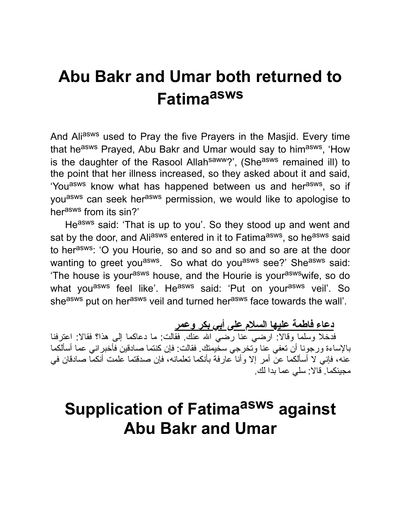### **Abu Bakr and Umar both returned to Fatima asws**

And Aliasws used to Pray the five Prayers in the Masjid. Every time that he<sup>asws</sup> Prayed, Abu Bakr and Umar would say to him<sup>asws</sup>, 'How is the daughter of the Rasool Allah<sup>saww</sup>?', (She<sup>asws</sup> remained ill) to the point that her illness increased, so they asked about it and said, 'You<sup>asws</sup> know what has happened between us and her<sup>asws</sup>, so if you<sup>asws</sup> can seek her<sup>asws</sup> permission, we would like to apologise to her<sup>asws</sup> from its sin?'

Heasws said: 'That is up to you'. So they stood up and went and sat by the door, and Ali<sup>asws</sup> entered in it to Fatima<sup>asws</sup>, so he<sup>asws</sup> said to herasws: 'O you Hourie, so and so and so and so are at the door wanting to greet you<sup>asws</sup>. So what do you<sup>asws</sup> see?' She<sup>asws</sup> said: 'The house is your<sup>asws</sup> house, and the Hourie is your<sup>asws</sup>wife, so do what you<sup>asws</sup> feel like'. He<sup>asws</sup> said: 'Put on your<sup>asws</sup> veil'. So she<sup>asws</sup> put on her<sup>asws</sup> veil and turned her<sup>asws</sup> face towards the wall'.

**دعاء فاطمة علیها السلام على أبي بكر وعمر**

فدخلا وسلما وقالا: ارضي عنا رضي االله عنك. فقالت: ما دعاكما إلى هذا؟ فقالا: اعترفنا بالإساءة ورجونا أن تعفي عنا وتخرجي سخیمتك. فقالت: فإن كنتما صادقین فأخبراني عما أسألكما عنه، فإني لا أسألكما عن أمر إلا وأنا عارفة بأنكما تعلمانه، فإن صدقتما علمت أنكما صادقان في مجیئكما. قالا: سلي عما بدا لك.

### **Supplication of Fatima asws against Abu Bakr and Umar**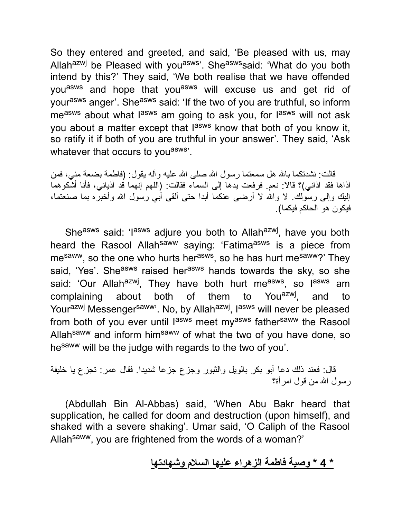So they entered and greeted, and said, 'Be pleased with us, may Allah<sup>azwj</sup> be Pleased with you<sup>asws</sup>'. She<sup>asws</sup>said: 'What do you both intend by this?' They said, 'We both realise that we have offended you<sup>asws</sup> and hope that you<sup>asws</sup> will excuse us and get rid of your<sup>asws</sup> anger'. She<sup>asws</sup> said: 'If the two of you are truthful, so inform me<sup>asws</sup> about what l<sup>asws</sup> am going to ask you, for l<sup>asws</sup> will not ask you about a matter except that l<sup>asws</sup> know that both of you know it, so ratify it if both of you are truthful in your answer'. They said, 'Ask whatever that occurs to you<sup>asws</sup>.

قالت: نشدتكما بالله هل سمعتما رسول الله صلى الله علیه وأله یقول: (فاطمة بضعة مني، فمن آذاها فقد آذاني)؟ قالا: نعم. فرفعت یدها إلى السماء فقالت: (اللهم إنهما قد آذیاني، فأنا أشكوهما إلیك وإلى رسولك. لا واالله لا أرضى عنكما أبدا حتى ألقى أبي رسول االله وأخبره بما صنعتما، فیكون هو الحاكم فیكما).

She<sup>asws</sup> said: 'I<sup>asws</sup> adjure you both to Allah<sup>azwj</sup>, have you both heard the Rasool Allah<sup>saww</sup> saying: 'Fatima<sup>asws</sup> is a piece from me<sup>saww</sup>, so the one who hurts her<sup>asws</sup>, so he has hurt me<sup>saww</sup>?' They said, 'Yes'. She<sup>asws</sup> raised her<sup>asws</sup> hands towards the sky, so she said: 'Our Allah<sup>azwj</sup>, They have both hurt me<sup>asws</sup>, so l<sup>asws</sup> am complaining about both of them to You<sup>azwj</sup>, , and to Yourazwj Messengersaww'. No, by Allahazwj, lasws will never be pleased from both of you ever until l<sup>asws</sup> meet my<sup>asws</sup> father<sup>saww</sup> the Rasool Allah<sup>saww</sup> and inform him<sup>saww</sup> of what the two of you have done, so hesaww will be the judge with regards to the two of you'.

قال: فعند ذلك دعا أبو بكر بالویل والثبور وجزع جزعا شدیدا. فقال عمر: تجزع یا خلیفة رسول االله من قول امرأة؟

(Abdullah Bin Al-Abbas) said, 'When Abu Bakr heard that supplication, he called for doom and destruction (upon himself), and shaked with a severe shaking'. Umar said, 'O Caliph of the Rasool Allahsaww, you are frightened from the words of a woman?'

#### **\* 4 \* وصیة فاطمة الزهراء علیها السلام وشهادتها**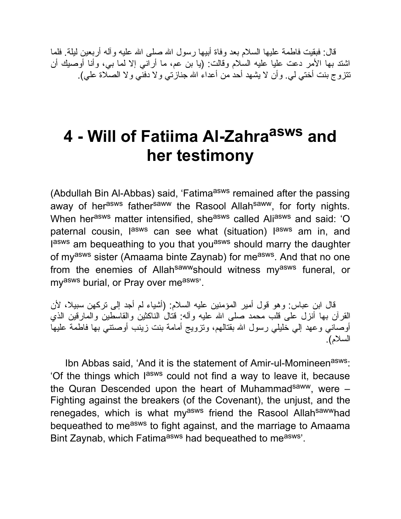قال: فبقیت فاطمة علیها السلام بعد وفاة أبیها رسول االله صلى االله علیه وآله أربعین لیلة. فلما اشتد بها الأمر دعت علیا علیه السلام وقالت: (یا بن عم، ما أراني إلا لما بي، وأنا أوصیك أن تتزوج بنت أختي لي. وأن لا یشهد أحد من أعداء االله جنازتي ولا دفني ولا الصلاة علي).

## **4 - Will of Fatiima Al-Zahra asws and her testimony**

(Abdullah Bin Al-Abbas) said, 'Fatima<sup>asws</sup> remained after the passing away of her<sup>asws</sup> father<sup>saww</sup> the Rasool Allah<sup>saww</sup>, for forty nights. When herasws matter intensified, sheasws called Aliasws and said: 'O paternal cousin, l<sup>asws</sup> can see what (situation) l<sup>asws</sup> am in, and lasws am bequeathing to you that you<sup>asws</sup> should marry the daughter of my<sup>asws</sup> sister (Amaama binte Zaynab) for me<sup>asws</sup>. And that no one from the enemies of Allah<sup>saww</sup>should witness my<sup>asws</sup> funeral, or myasws burial, or Pray over measws'.

قال ابن عباس: وهو قول أمیر المؤمنین علیه السلام: (أشیاء لم أجد إلى تركهن سبیلا، لأن القرآن بها أنزل على قلب محمد صلى االله علیه وآله: قتال الناكثین والقاسطین والمارقین الذي أوصاني وعهد إلي خلیلي رسول االله بقتالهم، وتزویج أمامة بنت زینب أوصتني بها فاطمة علیها السلام).

Ibn Abbas said, 'And it is the statement of Amir-ul-Momineen<sup>asws</sup>: 'Of the things which lasws could not find a way to leave it, because the Quran Descended upon the heart of Muhammad<sup>saww</sup>, were  $-$ Fighting against the breakers (of the Covenant), the unjust, and the renegades, which is what myasws friend the Rasool Allahsawwhad bequeathed to me<sup>asws</sup> to fight against, and the marriage to Amaama Bint Zaynab, which Fatima<sup>asws</sup> had bequeathed to me<sup>asws</sup>'.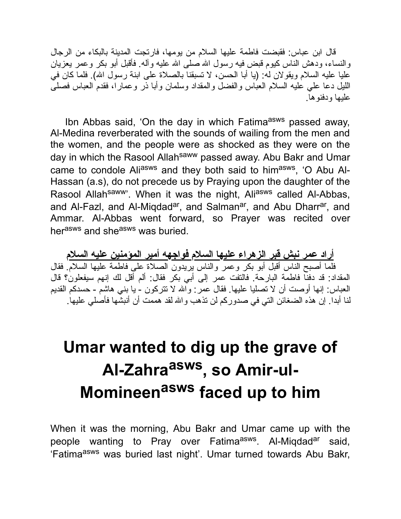قال ابن عباس: فقبضت فاطمة علیها السلام من یومها، فارتجت المدینة بالبكاء من الرجال والنساء، ودهش الناس كیوم قبض فیه رسول االله صلى االله علیه وآله. فأقبل أبو بكر وعمر یعزیان علیا علیه السلام ویقولان له: (یا أبا الحسن، لا تسبقنا بالصلاة على ابنة رسول االله). فلما كان في اللیل دعا علي علیه السلام العباس والفضل والمقداد وسلمان وأبا ذر وعمارا، فقدم العباس فصلى علیها ودفنوها.

Ibn Abbas said, 'On the day in which Fatima<sup>asws</sup> passed away, Al-Medina reverberated with the sounds of wailing from the men and the women, and the people were as shocked as they were on the day in which the Rasool Allah<sup>saww</sup> passed away. Abu Bakr and Umar came to condole Ali<sup>asws</sup> and they both said to him<sup>asws</sup>, 'O Abu Al-Hassan (a.s), do not precede us by Praying upon the daughter of the Rasool Allahsaww'. When it was the night, Aliasws called Al-Abbas, and Al-Fazl, and Al-Miqdad<sup>ar</sup>, and Salman<sup>ar</sup>, and Abu Dharr<sup>ar</sup>, and Ammar. Al-Abbas went forward, so Prayer was recited over herasws and she<sup>asws</sup> was buried.

**أراد عمر نبش قبر الزهراء علیها السلام فواجهه أمیر المؤمنین علیه السلام** فلما أصبح الناس أقبل أبو بكر وعمر والناس یریدون الصلاة على فاطمة علیها السلام. فقال المقداد: قد دفنا فاطمة البارحة. فالتفت عمر إلى أبي بكر فقال: ألم أقل لك إنهم سیفعلون؟ قال العباس: إنها أوصت أن لا تصلیا علیها. فقال عمر: واالله لا تتركون - یا بني هاشم - حسدكم القدیم لنا أبدا. إن هذه الضغائن التي في صدوركم لن تذهب واالله لقد هممت أن أنبشها فأصلي علیها.

# **Umar wanted to dig up the grave of Al-Zahra asws , so Amir-ul-Momineen asws faced up to him**

When it was the morning, Abu Bakr and Umar came up with the people wanting to Pray over Fatima<sup>asws</sup>. Al-Miqdad<sup>ar</sup> said, 'Fatima<sup>asws</sup> was buried last night'. Umar turned towards Abu Bakr,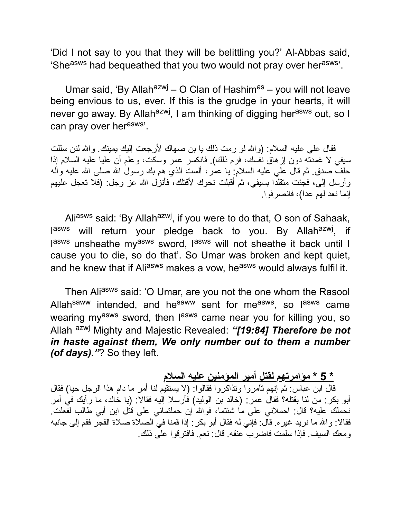'Did I not say to you that they will be belittling you?' Al-Abbas said, 'She<sup>asws</sup> had bequeathed that you two would not pray over her<sup>asws</sup>'.

Umar said, 'By Allah<sup>azwj</sup> – O Clan of Hashim<sup>as</sup> – you will not leave being envious to us, ever. If this is the grudge in your hearts, it will never go away. By Allah<sup>azwj</sup>, I am thinking of digging her<sup>asws</sup> out, so I can pray over her<sup>asws</sup>'.

فقال علي علیه السلام: (واالله لو رمت ذلك یا بن صهاك لأرجعت إلیك یمینك. واالله لئن سللت سیفي لا غمدته دون إزهاق نفسك، فرم ذلك). فانكسر عمر وسكت، وعلم أن علیا علیه السلام إذا حلف صدق. ثم قال علي علیه السلام: یا عمر، ألست الذي هم بك رسول االله صلى االله علیه وآله وأرسل إلي، فجئت متقلدا بسیفي، ثم أقبلت نحوك لأقتلك، فأنزل االله عز وجل: (فلا تعجل علیهم إنما نعد لهم عدا)، فانصرفوا.

Aliasws said: 'By Allah<sup>azwj</sup>, if you were to do that, O son of Sahaak, l<sup>asws</sup> will return your pledge back to you. By Allah<sup>azwj</sup>, if lasws unsheathe my<sup>asws</sup> sword, lasws will not sheathe it back until I cause you to die, so do that'. So Umar was broken and kept quiet, and he knew that if Aliasws makes a vow, he<sup>asws</sup> would always fulfil it.

Then Aliasws said: 'O Umar, are you not the one whom the Rasool Allah<sup>saww</sup> intended, and he<sup>saww</sup> sent for me<sup>asws</sup>, so l<sup>asws</sup> came wearing my<sup>asws</sup> sword, then l<sup>asws</sup> came near you for killing you, so Allah azwj Mighty and Majestic Revealed: *"[19:84] Therefore be not in haste against them, We only number out to them a number (of days)."*? So they left.

**\* 5 \* مؤامرتهم لقتل أمیر المؤمنین علیه السلام**

قال ابن عباس: ثم إنهم تآمروا وتذاكروا فقالوا: (لا یستقیم لنا أمر ما دام هذا الرجل حیا) فقال أبو بكر: من لنا بقتله؟ فقال عمر: (خالد بن الولید) فأرسلا إلیه فقالا: (یا خالد، ما رأیك في أمر نحملك علیه؟ قال: احملاني على ما شئتما، فواالله إن حملتماني على قتل ابن أبي طالب لفعلت. فقالا: واالله ما نرید غیره. قال: فإني له فقال أبو بكر: إذا قمنا في الصلاة صلاة الفجر فقم إلى جانبه ومعك السیف. فإذا سلمت فاضرب عنقه. قال: نعم. فافترقوا على ذلك.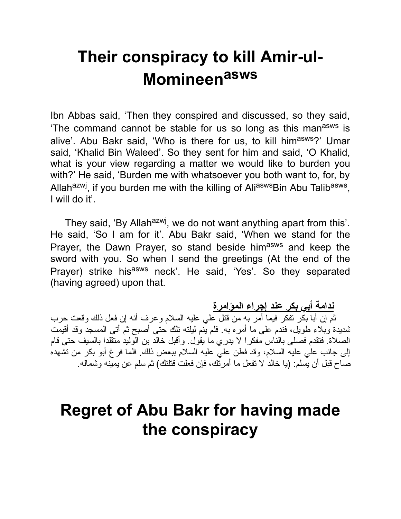## **Their conspiracy to kill Amir-ul-Momineen asws**

Ibn Abbas said, 'Then they conspired and discussed, so they said, The command cannot be stable for us so long as this man<sup>asws</sup> is alive'. Abu Bakr said, 'Who is there for us, to kill him<sup>asws</sup>?' Umar said, 'Khalid Bin Waleed'. So they sent for him and said, 'O Khalid, what is your view regarding a matter we would like to burden you with?' He said, 'Burden me with whatsoever you both want to, for, by Allah<sup>azwj</sup>, if you burden me with the killing of Ali<sup>asws</sup>Bin Abu Talib<sup>asws</sup>, I will do it'.

They said, 'By Allah<sup>azwj</sup>, we do not want anything apart from this'. He said, 'So I am for it'. Abu Bakr said, 'When we stand for the Prayer, the Dawn Prayer, so stand beside himasws and keep the sword with you. So when I send the greetings (At the end of the Prayer) strike his<sup>asws</sup> neck'. He said, 'Yes'. So they separated (having agreed) upon that.

**ندامة أبي بكر عند إجراء المؤامرة** ثم إن أبا بكر تفكر فیما أمر به من قتل علي علیه السلام وعرف أنه إن فعل ذلك وقعت حرب شدیدة وبلاء طویل، فندم على ما أمره به. فلم ینم لیلته تلك حتى أصبح ثم أتى المسجد وقد أقیمت الصلاة. فتقدم فصلى بالناس مفكرا لا یدري ما یقول. وأقبل خالد بن الولید متقلدا بالسیف حتى قام إلى جانب علي علیه السلام، وقد فطن علي علیه السلام ببعض ذلك. فلما فرغ أبو بكر من تشهده صاح قبل أن یسلم: (یا خالد لا تفعل ما أمرتك، فإن فعلت قتلتك) ثم سلم عن یمینه وشماله.

## **Regret of Abu Bakr for having made the conspiracy**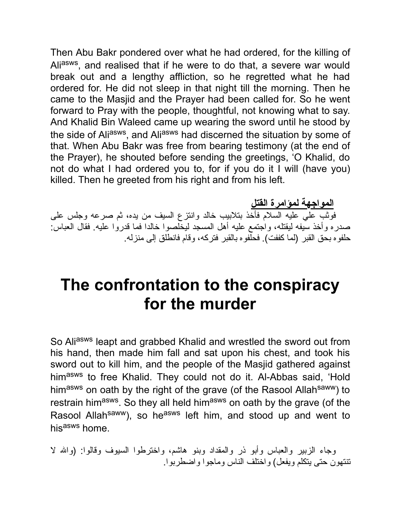Then Abu Bakr pondered over what he had ordered, for the killing of Ali<sup>asws</sup>, and realised that if he were to do that, a severe war would break out and a lengthy affliction, so he regretted what he had ordered for. He did not sleep in that night till the morning. Then he came to the Masjid and the Prayer had been called for. So he went forward to Pray with the people, thoughtful, not knowing what to say. And Khalid Bin Waleed came up wearing the sword until he stood by the side of Aliasws, and Aliasws had discerned the situation by some of that. When Abu Bakr was free from bearing testimony (at the end of the Prayer), he shouted before sending the greetings, 'O Khalid, do not do what I had ordered you to, for if you do it I will (have you) killed. Then he greeted from his right and from his left.

**المواجهة لمؤامرة القتل** فوثب علي علیه السلام فأخذ بتلابیب خالد وانتزع السیف من یده، ثم صرعه وجلس على صدره وأخذ سیفه لیقتله، واجتمع علیه أهل المسجد لیخلصوا خالدا فما قدروا علیه. فقال العباس: حلفوه بحق القبر (لما كففت). فحلفوه بالقبر فتركه، وقام فانطلق إلى منزله.

## **The confrontation to the conspiracy for the murder**

So Aliasws leapt and grabbed Khalid and wrestled the sword out from his hand, then made him fall and sat upon his chest, and took his sword out to kill him, and the people of the Masjid gathered against himasws to free Khalid. They could not do it. Al-Abbas said, 'Hold himasws on oath by the right of the grave (of the Rasool Allahsaww) to restrain himasws. So they all held himasws on oath by the grave (of the Rasool Allah<sup>saww</sup>), so he<sup>asws</sup> left him, and stood up and went to his<sup>asws</sup> home.

وجاء الزبیر والعباس وأبو ذر والمقداد وبنو هاشم، واخترطوا السیوف وقالوا: (واالله لا تنتهون حتى یتكلم ویفعل) واختلف الناس وماجوا واضطربوا.